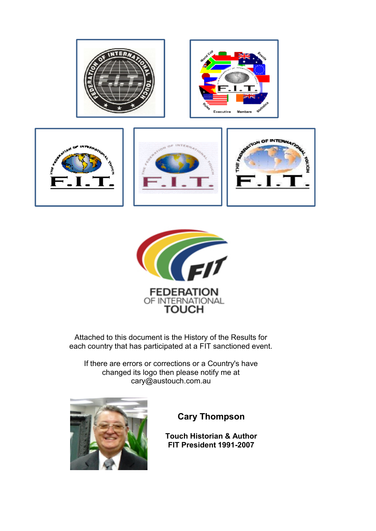



Attached to this document is the History of the Results for each country that has participated at a FIT sanctioned event.

If there are errors or corrections or a Country's have changed its logo then please notify me at cary@austouch.com.au



**Cary Thompson**

**Touch Historian & Author FIT President 1991-2007**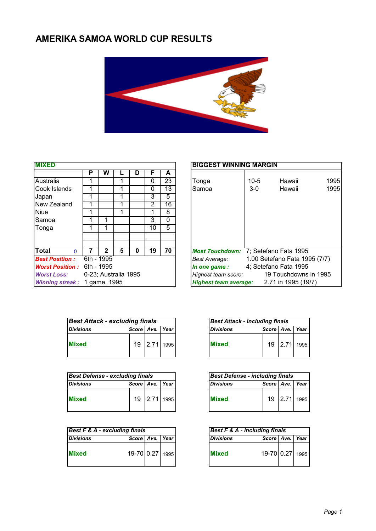## **AMERIKA SAMOA WORLD CUP RESULTS**



| <b>MIXED</b>                 |                      |            |   |   |    |    | <b>BIGGEST WINNING MARGIN</b>                       |
|------------------------------|----------------------|------------|---|---|----|----|-----------------------------------------------------|
|                              | P                    | w          |   | D | F  | A  |                                                     |
| Australia                    |                      |            |   |   | 0  | 23 | 1<br>$10 - 5$<br>Hawaii<br>Tonga                    |
| Cook Islands                 |                      |            |   |   | 0  | 13 | 1<br>Samoa<br>$3-0$<br>Hawaii                       |
| Japan                        |                      |            |   |   | 3  | 5  |                                                     |
| New Zealand                  |                      |            |   |   | 2  | 16 |                                                     |
| <b>Niue</b>                  |                      |            |   |   |    | 8  |                                                     |
| <b>Samoa</b>                 |                      |            |   |   | 3  | 0  |                                                     |
| Tonga                        |                      |            |   |   | 10 | 5  |                                                     |
|                              |                      |            |   |   |    |    |                                                     |
| Total<br>$\Omega$            |                      |            | 5 | 0 | 19 | 70 | Most Touchdown: 7; Setefano Fata 1995               |
| <b>Best Position:</b>        |                      | 6th - 1995 |   |   |    |    | 1.00 Setefano Fata 1995 (7/7)<br>Best Average:      |
| <b>Worst Position:</b>       | 6th - 1995           |            |   |   |    |    | 4; Setefano Fata 1995<br>In one game:               |
| <b>Worst Loss:</b>           | 0-23; Australia 1995 |            |   |   |    |    | 19 Touchdowns in 1995<br>Highest team score:        |
| Winning streak: 1 game, 1995 |                      |            |   |   |    |    | 2.71 in 1995 (19/7)<br><b>Highest team average:</b> |

| <b>MIXED</b>                               |   |            |   |   |    |    |  |  |  |  |
|--------------------------------------------|---|------------|---|---|----|----|--|--|--|--|
|                                            | P | w          |   | D | F  | A  |  |  |  |  |
| Australia                                  |   |            |   |   | 0  | 23 |  |  |  |  |
| Cook Islands                               |   |            |   |   | 0  | 13 |  |  |  |  |
| Japan                                      |   |            |   |   | 3  | 5  |  |  |  |  |
| New Zealand                                |   |            |   |   | 2  | 16 |  |  |  |  |
| Niue                                       |   |            |   |   |    | 8  |  |  |  |  |
| Samoa                                      |   |            |   |   | 3  | 0  |  |  |  |  |
| Tonga                                      |   |            |   |   | 10 | 5  |  |  |  |  |
|                                            |   |            |   |   |    |    |  |  |  |  |
| Total<br>$\Omega$                          |   | 2          | 5 | 0 | 19 | 70 |  |  |  |  |
| <b>Best Position:</b>                      |   | 6th - 1995 |   |   |    |    |  |  |  |  |
| <b>Worst Position :</b>                    |   | 6th - 1995 |   |   |    |    |  |  |  |  |
| 0-23; Australia 1995<br><b>Worst Loss:</b> |   |            |   |   |    |    |  |  |  |  |
| Winning streak: 1 game, 1995               |   |            |   |   |    |    |  |  |  |  |

| <b>Best Attack - excluding finals</b> |                     |  |              |  |  |  |  |
|---------------------------------------|---------------------|--|--------------|--|--|--|--|
| <b>Divisions</b>                      | Score   Ave.   Year |  |              |  |  |  |  |
| <b>Mixed</b>                          |                     |  | 19 2.71 1995 |  |  |  |  |

| Best Defense - excluding finals |                     |  | <b>Best Defense - including finals</b> |                  |                     |      |
|---------------------------------|---------------------|--|----------------------------------------|------------------|---------------------|------|
| <b>Divisions</b>                | Score   Ave.   Year |  |                                        | <b>Divisions</b> | Score   Ave.   Year |      |
|                                 | 19                  |  | 2.71 1995                              | <b>Mixed</b>     | 19                  | 2.71 |

|                  | Best F & A - excluding finals |  | Best F & A - including finals |                  |                     |  |
|------------------|-------------------------------|--|-------------------------------|------------------|---------------------|--|
| <b>Divisions</b> | Score   Ave.   Year           |  |                               | <b>Divisions</b> | Score   Ave.   Year |  |
| <b>Mixed</b>     | 19-70 0.27 1995               |  |                               | <b>Mixed</b>     | 19-70 0.27 1995     |  |

| <b>Best Attack - including finals</b> |                     |              |  |  |  |  |  |  |  |
|---------------------------------------|---------------------|--------------|--|--|--|--|--|--|--|
| Divisions                             | Score   Ave.   Year |              |  |  |  |  |  |  |  |
| <b>Mixed</b>                          |                     | 19 2.71 1995 |  |  |  |  |  |  |  |

| <b>Best Defense - including finals</b> |                 |              |  |  |  |  |  |  |  |
|----------------------------------------|-----------------|--------------|--|--|--|--|--|--|--|
| <b>Divisions</b>                       | Score Ave. Year |              |  |  |  |  |  |  |  |
| <b>Mixed</b>                           |                 | 19 2.71 1995 |  |  |  |  |  |  |  |

| $Best F & A - including finals$ |                     |  |  |  |  |  |  |  |  |
|---------------------------------|---------------------|--|--|--|--|--|--|--|--|
| <b>Divisions</b>                | Score   Ave.   Year |  |  |  |  |  |  |  |  |
| <b>Mixed</b>                    | 19-70 0.27 1995     |  |  |  |  |  |  |  |  |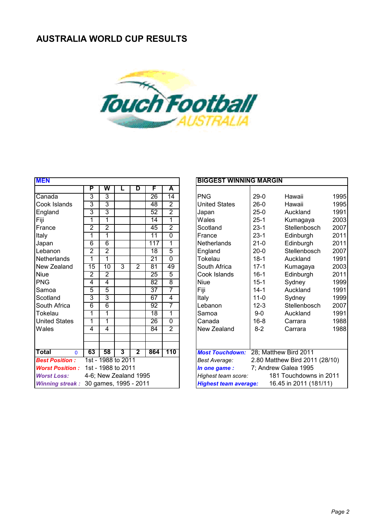

| <b>MEN</b>                   |                 |                    |   |                         |                 |                | <b>BIGGEST WINNING MARGIN</b> |                                                        |                                |                |  |
|------------------------------|-----------------|--------------------|---|-------------------------|-----------------|----------------|-------------------------------|--------------------------------------------------------|--------------------------------|----------------|--|
|                              | P               | W                  | L | D                       | F               | A              |                               |                                                        |                                |                |  |
| Canada                       | 3               | 3                  |   |                         | 26              | 14             | <b>PNG</b>                    | $29-0$                                                 | Hawaii                         | 1 <sup>c</sup> |  |
| Cook Islands                 | 3               | $\overline{3}$     |   |                         | 48              | $\overline{2}$ | <b>United States</b>          | $26-0$                                                 | Hawaii                         | 1 <sub>c</sub> |  |
| England                      | 3               | 3                  |   |                         | 52              | $\overline{2}$ | Japan                         | $25-0$                                                 | Auckland                       | 1 <sub>c</sub> |  |
| Fiji                         | 1               | 1                  |   |                         | 14              | 1              | Wales                         | $25-1$                                                 | Kumagaya                       | 20             |  |
| France                       | $\overline{2}$  | $\overline{2}$     |   |                         | 45              | $\overline{2}$ | Scotland                      | $23-1$                                                 | Stellenbosch                   | 20             |  |
| Italy                        | 1               | $\overline{1}$     |   |                         | 11              | $\overline{0}$ | France                        | $23-1$                                                 | Edinburgh                      | 20             |  |
| Japan                        | 6               | 6                  |   |                         | 117             | 1              | <b>Netherlands</b>            | $21 - 0$                                               | Edinburgh                      | 20             |  |
| Lebanon                      | $\overline{2}$  | $\overline{2}$     |   |                         | 18              | $\overline{5}$ | England                       | $20 - 0$                                               | Stellenbosch                   | 20             |  |
| Netherlands                  | 1               | 1                  |   |                         | $\overline{21}$ | $\overline{0}$ | Tokelau                       | $18-1$                                                 | Auckland                       | 1 <sub>c</sub> |  |
| New Zealand                  | $\overline{15}$ | $\overline{10}$    | 3 | $\overline{2}$          | 81              | 49             | South Africa                  | $17 - 1$                                               | Kumagaya                       | 20             |  |
| <b>Niue</b>                  | $\overline{2}$  | $\overline{2}$     |   |                         | $\overline{25}$ | 5              | Cook Islands                  | $16 - 1$                                               | Edinburgh                      | 20             |  |
| PNG                          | 4               | 4                  |   |                         | 82              | 8              | <b>Niue</b>                   | $15 - 1$                                               | Sydney                         | 1 <sup>c</sup> |  |
| Samoa                        | 5               | 5                  |   |                         | $\overline{37}$ | 7              | Fiji                          | $14 - 1$                                               | Auckland                       | 19             |  |
| Scotland                     | 3               | 3                  |   |                         | 67              | $\overline{4}$ | Italy                         | $11 - 0$                                               | Sydney                         | 1 <sub>S</sub> |  |
| <b>South Africa</b>          | 6               | 6                  |   |                         | 92              | 7              | Lebanon                       | $12 - 3$                                               | Stellenbosch                   | 20             |  |
| Tokelau                      | 1               | 1                  |   |                         | 18              | 1              | Samoa                         | $9-0$                                                  | Auckland                       | 1 <sub>c</sub> |  |
| <b>United States</b>         | 1               | 1                  |   |                         | $\overline{26}$ | $\overline{0}$ | Canada                        | $16 - 8$                                               | Carrara                        | 1 <sub>c</sub> |  |
| <b>Wales</b>                 | 4               | 4                  |   |                         | 84              | $\overline{2}$ | New Zealand                   | $8 - 2$                                                | Carrara                        | 1 <sub>c</sub> |  |
|                              |                 |                    |   |                         |                 |                |                               |                                                        |                                |                |  |
|                              |                 |                    |   |                         |                 |                |                               |                                                        |                                |                |  |
| <b>Total</b><br>$\mathbf{0}$ | 63              | 58                 | 3 | $\overline{\mathbf{2}}$ | 864             | 110            | <b>Most Touchdown:</b>        |                                                        | 28; Matthew Bird 2011          |                |  |
| <b>Best Position:</b>        |                 | 1st - 1988 to 2011 |   |                         |                 |                | <b>Best Average:</b>          |                                                        | 2.80 Matthew Bird 2011 (28/10) |                |  |
| <b>Worst Position:</b>       |                 | 1st - 1988 to 2011 |   |                         |                 |                | In one game:                  |                                                        | 7; Andrew Galea 1995           |                |  |
| <b>Worst Loss:</b>           |                 |                    |   | 4-6; New Zealand 1995   |                 |                | Highest team score:           |                                                        | 181 Touchdowns in 2011         |                |  |
| <b>Winning streak:</b>       |                 |                    |   | 30 games, 1995 - 2011   |                 |                |                               | <b>Highest team average:</b><br>16.45 in 2011 (181/11) |                                |                |  |

#### **BIGGEST WINNING MARGIN**

|                        | г              | v v                   | ь | ◡                       |                 | n              |                              |          |                                |      |
|------------------------|----------------|-----------------------|---|-------------------------|-----------------|----------------|------------------------------|----------|--------------------------------|------|
| Canada                 | 3              | 3                     |   |                         | 26              | 14             | <b>PNG</b>                   | $29-0$   | Hawaii                         | 1995 |
| Cook Islands           | 3              | 3                     |   |                         | 48              | $\overline{2}$ | <b>United States</b>         | $26-0$   | Hawaii                         | 1995 |
| England                | 3              | 3                     |   |                         | 52              | $\overline{2}$ | Japan                        | $25-0$   | Auckland                       | 1991 |
| Fiji                   | 1              | 1                     |   |                         | 14              | 1              | Wales                        | $25 - 1$ | Kumagaya                       | 2003 |
| France                 | 2              | $\overline{2}$        |   |                         | 45              | $\overline{2}$ | Scotland                     | $23 - 1$ | Stellenbosch                   | 2007 |
| Italy                  | 1              | 1                     |   |                         | 11              | $\overline{0}$ | France                       | $23 - 1$ | Edinburgh                      | 2011 |
| Japan                  | $\overline{6}$ | $\overline{6}$        |   |                         | 117             | 1              | <b>Netherlands</b>           | $21-0$   | Edinburgh                      | 2011 |
| Lebanon                | $\overline{2}$ | $\overline{2}$        |   |                         | 18              | 5              | England                      | $20 - 0$ | Stellenbosch                   | 2007 |
| Netherlands            | 1              | 1                     |   |                         | $\overline{21}$ | $\overline{0}$ | Tokelau                      | $18-1$   | Auckland                       | 1991 |
| New Zealand            | 15             | 10                    | 3 | $\overline{2}$          | 81              | 49             | South Africa                 | $17 - 1$ | Kumagaya                       | 2003 |
| Niue                   | $\overline{2}$ | $\overline{2}$        |   |                         | $\overline{25}$ | $\overline{5}$ | Cook Islands                 | $16 - 1$ | Edinburgh                      | 2011 |
| <b>PNG</b>             | 4              | 4                     |   |                         | 82              | 8              | <b>Niue</b>                  | $15 - 1$ | Sydney                         | 1999 |
| Samoa                  | 5              | 5                     |   |                         | $\overline{37}$ | 7              | Fiji                         | $14 - 1$ | Auckland                       | 1991 |
| Scotland               | 3              | 3                     |   |                         | 67              | 4              | Italy                        | $11 - 0$ | Sydney                         | 1999 |
| South Africa           | 6              | 6                     |   |                         | 92              | 7              | Lebanon                      | $12 - 3$ | Stellenbosch                   | 2007 |
| Tokelau                | 1              |                       |   |                         | 18              | 1              | Samoa                        | $9-0$    | Auckland                       | 1991 |
| <b>United States</b>   | 1              | 1                     |   |                         | 26              | $\overline{0}$ | Canada                       | $16 - 8$ | Carrara                        | 1988 |
| Wales                  | 4              | 4                     |   |                         | 84              | $\overline{2}$ | New Zealand                  | $8 - 2$  | Carrara                        | 1988 |
|                        |                |                       |   |                         |                 |                |                              |          |                                |      |
|                        |                |                       |   |                         |                 |                |                              |          |                                |      |
| Total<br>$\mathbf{0}$  | 63             | 58                    | 3 | $\overline{\mathbf{2}}$ | 864             | 110            | <b>Most Touchdown:</b>       |          | 28; Matthew Bird 2011          |      |
| <b>Best Position:</b>  |                | 1st - 1988 to 2011    |   |                         |                 |                | Best Average:                |          | 2.80 Matthew Bird 2011 (28/10) |      |
| <b>Worst Position:</b> |                | 1st - 1988 to 2011    |   |                         |                 |                | In one game:                 |          | 7; Andrew Galea 1995           |      |
| <b>Worst Loss:</b>     |                | 4-6; New Zealand 1995 |   |                         |                 |                | Highest team score:          |          | 181 Touchdowns in 2011         |      |
| <b>Winning streak:</b> |                | 30 games, 1995 - 2011 |   |                         |                 |                | <b>Highest team average:</b> |          | 16.45 in 2011 (181/11)         |      |
|                        |                |                       |   |                         |                 |                |                              |          |                                |      |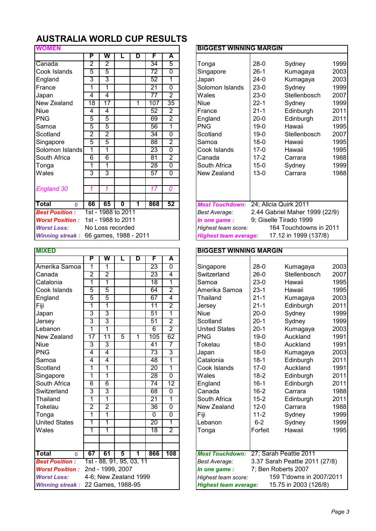|                      |                |                         |   |                                                              |                       | <b>BIGGEST WINNING MARGIN</b>                   |                                                                                                             |  |  |  |  |
|----------------------|----------------|-------------------------|---|--------------------------------------------------------------|-----------------------|-------------------------------------------------|-------------------------------------------------------------------------------------------------------------|--|--|--|--|
| Р                    | w              |                         | D | F                                                            | A                     |                                                 |                                                                                                             |  |  |  |  |
| $\overline{2}$       | $\overline{2}$ |                         |   | 34                                                           | $\overline{5}$        | $28-0$<br>Sydney<br>Tonga                       | 19                                                                                                          |  |  |  |  |
| 5                    | 5              |                         |   | 72                                                           | $\overline{0}$        | $26-1$<br>Singapore<br>Kumagaya                 | 2 <sup>0</sup>                                                                                              |  |  |  |  |
| 3                    | 3              |                         |   | 52                                                           | 1                     | $24-0$<br>Japan<br>Kumagaya                     | $\overline{2}$                                                                                              |  |  |  |  |
| 1                    | 1              |                         |   | 21                                                           | $\overline{0}$        | Solomon Islands<br>$23-0$<br>Sydney             | 19                                                                                                          |  |  |  |  |
| 4                    | 4              |                         |   | 77                                                           | $\overline{2}$        | $23-0$<br>Wales<br>Stellenbosch                 | $\overline{2}$                                                                                              |  |  |  |  |
| 18                   | 17             |                         | 1 | 107                                                          | 35                    | $22 - 1$<br><b>Niue</b><br>Sydney               | 19                                                                                                          |  |  |  |  |
| 4                    | 4              |                         |   | 52                                                           | $\overline{2}$        | France<br>$21 - 1$<br>Edinburgh                 | 2 <sup>0</sup>                                                                                              |  |  |  |  |
| 5                    | 5              |                         |   | 69                                                           | $\overline{2}$        | England<br>$20 - 0$<br>Edinburgh                | 2 <sup>0</sup>                                                                                              |  |  |  |  |
| 5                    | 5              |                         |   | 56                                                           | 1                     | <b>PNG</b><br>$19-0$<br>Hawaii                  | 19                                                                                                          |  |  |  |  |
| $\overline{2}$       | $\overline{2}$ |                         |   | 34                                                           | $\overline{0}$        | $19-0$<br>Scotland<br>Stellenbosch              | 2 <sup>0</sup>                                                                                              |  |  |  |  |
| 5                    | 5              |                         |   | 88                                                           | $\overline{2}$        | $18-0$<br>Samoa<br>Hawaii                       | 19                                                                                                          |  |  |  |  |
| 1<br>Solomon Islands | 1              |                         |   | 23                                                           | $\Omega$              | Cook Islands<br>$17-0$<br>Hawaii                | 19                                                                                                          |  |  |  |  |
| 6                    | 6              |                         |   | 81                                                           | $\overline{2}$        | $17 - 2$<br>Canada<br>Carrara                   | 19                                                                                                          |  |  |  |  |
| 1                    | 1              |                         |   | 28                                                           | $\overline{0}$        | South Africa<br>$15 - 0$<br>Sydney              | 19                                                                                                          |  |  |  |  |
| 3                    | 3              |                         |   | 57                                                           | $\Omega$              | New Zealand<br>$13 - 0$<br>Carrara              | 19                                                                                                          |  |  |  |  |
|                      |                |                         |   |                                                              |                       |                                                 |                                                                                                             |  |  |  |  |
|                      | 1              |                         |   | 17                                                           | 0                     |                                                 |                                                                                                             |  |  |  |  |
|                      |                |                         |   |                                                              |                       |                                                 |                                                                                                             |  |  |  |  |
| 66                   | 65             | $\overline{\mathbf{0}}$ | 1 | 868                                                          | 52                    | 24; Alicia Quirk 2011<br><b>Most Touchdown:</b> |                                                                                                             |  |  |  |  |
|                      |                |                         |   |                                                              |                       | Best Average:                                   |                                                                                                             |  |  |  |  |
|                      |                |                         |   |                                                              |                       | In one game :                                   |                                                                                                             |  |  |  |  |
|                      |                |                         |   |                                                              |                       | Highest team score:                             |                                                                                                             |  |  |  |  |
|                      |                |                         |   |                                                              |                       | <b>Highest team average:</b>                    |                                                                                                             |  |  |  |  |
|                      |                |                         |   | 1st - 1988 to 2011<br>1st - 1988 to 2011<br>No Loss recorded | 66 games, 1988 - 2011 |                                                 | 2.44 Gabriel Maher 1999 (22/9)<br>9; Giselle Tirado 1999<br>164 Touchdowns in 2011<br>17.12 in 1999 (137/8) |  |  |  |  |

| <b>MIXED</b>                                |                 |                          |                |   |                 |                 | <b>BIGGEST WINNING MARGIN</b>                         |                        |                                |                         |
|---------------------------------------------|-----------------|--------------------------|----------------|---|-----------------|-----------------|-------------------------------------------------------|------------------------|--------------------------------|-------------------------|
|                                             | P               | W                        |                | D | F               | A               |                                                       |                        |                                |                         |
| Amerika Samoa                               | 1               | 1                        |                |   | 23              | $\overline{0}$  | Singapore                                             | $28-0$                 | Kumagaya                       | $\overline{\mathbf{c}}$ |
| Canada                                      | $\overline{2}$  | 2                        |                |   | $\overline{23}$ | 4               | Switzerland                                           | $26-0$                 | Stellenbosch                   | $\overline{2}$          |
| Catalonia                                   | 1               | 1                        |                |   | 18              | 1               | Samoa                                                 | $23-0$                 | Hawaii                         | 1                       |
| Cook Islands                                | $\overline{5}$  | 5                        |                |   | 64              | $\overline{2}$  | Amerika Samoa                                         | $23-1$                 | Hawaii                         | 1                       |
| England                                     | 5               | 5                        |                |   | 67              | 4               | Thailand                                              | $21 - 1$               | Kumagaya                       | $\overline{c}$          |
| Fiji                                        | 1               | 1                        |                |   | 11              | $\overline{2}$  | Jersey                                                | $21 - 1$               | Edinburgh                      | $\overline{c}$          |
| Japan                                       | 3               | 3                        |                |   | 51              | 1               | <b>Niue</b>                                           | $20 - 0$               | Sydney                         | 1                       |
| Jersey                                      | 3               | 3                        |                |   | 51              | $\overline{2}$  | Scotland                                              | $20 - 1$               | Sydney                         | 1                       |
| Lebanon                                     | 1               | 1                        |                |   | 6               | 2               | <b>United States</b>                                  | $20-1$                 | Kumagaya                       | $\overline{c}$          |
| New Zealand                                 | $\overline{17}$ | $\overline{11}$          | $\overline{5}$ | 1 | 105             | 62              | <b>PNG</b>                                            | $19-0$                 | Auckland                       | 1                       |
| <b>Niue</b>                                 | 3               | 3                        |                |   | 41              |                 | Tokelau                                               | $18 - 0$               | Auckland                       | 1                       |
| <b>PNG</b>                                  | 4               | 4                        |                |   | 73              | 3               | Japan                                                 | $18 - 0$               | Kumagaya                       | $\overline{c}$          |
| Samoa                                       | 4               | 4                        |                |   | 48              | 1               | Catalonia                                             | $18-1$                 | Edinburgh                      | $\overline{c}$          |
| Scotland                                    | 1               | 1                        |                |   | $\overline{20}$ | 1               | Cook Islands                                          | $17-0$                 | Auckland                       | $\mathbf 1$             |
| Singapore                                   | 1               | 1                        |                |   | 28              | $\overline{0}$  | Wales                                                 | $18-2$                 | Edinburgh                      | $\overline{c}$          |
| South Africa                                | $\overline{6}$  | $\overline{6}$           |                |   | $\overline{74}$ | $\overline{12}$ | England                                               | $16 - 1$               | Edinburgh                      | $\overline{c}$          |
| Switzerland                                 | 3               | 3                        |                |   | 68              | $\overline{0}$  | Canada                                                | $16 - 2$               | Carrara                        | 1                       |
| Thailand                                    | 1               | 1                        |                |   | 21              | 1               | South Africa                                          | $15 - 2$               | Edinburgh                      | $\overline{c}$          |
| Tokelau                                     | 2               | $\overline{2}$           |                |   | $\overline{36}$ | $\overline{0}$  | New Zealand                                           | $12 - 0$               | Carrara                        | 1                       |
| Tonga                                       | 1               | 1                        |                |   | 0               | $\overline{0}$  | Fiji                                                  | $11 - 2$               | Sydney                         | 1                       |
| <b>United States</b>                        | 1               | 1                        |                |   | $\overline{20}$ | 1               | Lebanon                                               | $6 - 2$                | Sydney                         | 1                       |
| Wales                                       | 1               | 1                        |                |   | $\overline{18}$ | 2               | Tonga                                                 | Forfeit                | Hawaii                         | 1                       |
|                                             |                 |                          |                |   |                 |                 |                                                       |                        |                                |                         |
|                                             |                 |                          |                |   |                 |                 |                                                       |                        |                                |                         |
| Total<br>$\mathbf{0}$                       | 67              | 61                       | 5              | 1 | 866             | 108             | <b>Most Touchdown:</b>                                |                        | 27; Sarah Peattie 2011         |                         |
| <b>Best Position:</b>                       |                 | 1st - 88, 91, 95, 03, 11 |                |   |                 |                 | <b>Best Average:</b>                                  |                        | 3.37 Sarah Peattie 2011 (27/8) |                         |
| <b>Worst Position:</b>                      |                 | 2nd - 1999, 2007         |                |   |                 |                 | In one game:                                          |                        | 7; Ben Roberts 2007            |                         |
| 4-6; New Zealand 1999<br><b>Worst Loss:</b> |                 |                          |                |   |                 |                 | Highest team score:                                   | 159 T'downs in 2007/20 |                                |                         |
| <b>Winning streak:</b>                      |                 | 22 Games, 1988-95        |                |   |                 |                 | 15.75 in 2003 (126/8)<br><b>Highest team average:</b> |                        |                                |                         |

| P               | W               |                         | D | F                                                            | A                           |                      |                        |                                                     |                                                                                                                                                                       |
|-----------------|-----------------|-------------------------|---|--------------------------------------------------------------|-----------------------------|----------------------|------------------------|-----------------------------------------------------|-----------------------------------------------------------------------------------------------------------------------------------------------------------------------|
| $\overline{2}$  | $\overline{2}$  |                         |   | 34                                                           | 5                           | Tonga                | $28-0$                 | Sydney                                              | 1999                                                                                                                                                                  |
| 5               | 5               |                         |   | 72                                                           | $\mathbf 0$                 | Singapore            | $26-1$                 | Kumagaya                                            | 2003                                                                                                                                                                  |
| 3               | 3               |                         |   | 52                                                           | 1                           | Japan                | $24-0$                 | Kumagaya                                            | 2003                                                                                                                                                                  |
| 1               | 1               |                         |   | 21                                                           | $\overline{0}$              | Solomon Islands      | $23-0$                 | Sydney                                              | 1999                                                                                                                                                                  |
| 4               | $\overline{4}$  |                         |   | 77                                                           | $\overline{2}$              | Wales                | $23-0$                 | Stellenbosch                                        | 2007                                                                                                                                                                  |
| $\overline{18}$ | $\overline{17}$ |                         | 1 | 107                                                          | $\overline{35}$             | <b>Niue</b>          | $22 - 1$               | Sydney                                              | 1999                                                                                                                                                                  |
| 4               | 4               |                         |   | 52                                                           | $\overline{2}$              | France               | $21 - 1$               | Edinburgh                                           | 2011                                                                                                                                                                  |
| 5               | 5               |                         |   | 69                                                           | $\overline{2}$              | England              | $20 - 0$               | Edinburgh                                           | 2011                                                                                                                                                                  |
| 5               | 5               |                         |   | 56                                                           | 1                           | <b>PNG</b>           | $19-0$                 | Hawaii                                              | 1995                                                                                                                                                                  |
| $\overline{2}$  | $\overline{2}$  |                         |   | 34                                                           | $\overline{0}$              | Scotland             | $19-0$                 | Stellenbosch                                        | 2007                                                                                                                                                                  |
| 5               | 5               |                         |   | $\overline{88}$                                              | $\overline{2}$              | Samoa                | $18-0$                 | Hawaii                                              | 1995                                                                                                                                                                  |
| 1               | 1               |                         |   | 23                                                           | $\mathbf 0$                 | Cook Islands         | $17-0$                 | Hawaii                                              | 1995                                                                                                                                                                  |
| 6               | 6               |                         |   | 81                                                           | $\overline{2}$              | Canada               | $17-2$                 | Carrara                                             | 1988                                                                                                                                                                  |
| 1               | 1               |                         |   | 28                                                           | $\overline{0}$              | South Africa         | $15-0$                 | Sydney                                              | 1999                                                                                                                                                                  |
| 3               | $\overline{3}$  |                         |   | $\overline{57}$                                              | $\mathbf 0$                 | New Zealand          | $13-0$                 | Carrara                                             | 1988                                                                                                                                                                  |
|                 |                 |                         |   |                                                              |                             |                      |                        |                                                     |                                                                                                                                                                       |
|                 |                 |                         |   |                                                              |                             |                      |                        |                                                     |                                                                                                                                                                       |
| 66              | 65              | $\overline{\mathbf{0}}$ | 1 | 868                                                          | 52                          |                      |                        |                                                     |                                                                                                                                                                       |
|                 |                 |                         |   |                                                              |                             | <b>Best Average:</b> |                        |                                                     |                                                                                                                                                                       |
|                 |                 |                         |   |                                                              |                             | In one game :        |                        |                                                     |                                                                                                                                                                       |
|                 |                 |                         |   |                                                              |                             |                      |                        |                                                     |                                                                                                                                                                       |
|                 |                 |                         |   |                                                              |                             |                      |                        |                                                     |                                                                                                                                                                       |
|                 | Solomon Islands |                         |   | 1st - 1988 to 2011<br>1st - 1988 to 2011<br>No Loss recorded | 17<br>66 games, 1988 - 2011 | 0                    | <b>Most Touchdown:</b> | Highest team score:<br><b>Highest team average:</b> | <b>BIGGEST WINNING MARGIN</b><br>24; Alicia Quirk 2011<br>2.44 Gabriel Maher 1999 (22/9)<br>9; Giselle Tirado 1999<br>164 Touchdowns in 2011<br>17.12 in 1999 (137/8) |

#### **BIGGEST WINNING MARGIN**

|                        | P               | W                        | L | D | F               | А               |                              |          |                                |      |
|------------------------|-----------------|--------------------------|---|---|-----------------|-----------------|------------------------------|----------|--------------------------------|------|
| Amerika Samoa          | 1               | 1                        |   |   | 23              | $\overline{0}$  | Singapore                    | $28-0$   | Kumagaya                       | 2003 |
| Canada                 | $\overline{2}$  | $\overline{2}$           |   |   | 23              | 4               | Switzerland                  | $26-0$   | Stellenbosch                   | 2007 |
| Catalonia              | 1               | 1                        |   |   | 18              | 1               | Samoa                        | $23-0$   | Hawaii                         | 1995 |
| Cook Islands           | $\overline{5}$  | 5                        |   |   | 64              | $\overline{2}$  | Amerika Samoa                | $23-1$   | Hawaii                         | 1995 |
| England                | $\overline{5}$  | $\overline{5}$           |   |   | 67              | 4               | Thailand                     | $21 - 1$ | Kumagaya                       | 2003 |
| Fiji                   | 1               | 1                        |   |   | $\overline{11}$ | 2               | Jersey                       | $21 - 1$ | Edinburgh                      | 2011 |
| Japan                  | 3               | $\overline{3}$           |   |   | 51              | 1               | <b>Niue</b>                  | $20 - 0$ | Sydney                         | 1999 |
| Jersey                 | 3               | 3                        |   |   | 51              | $\overline{2}$  | Scotland                     | $20-1$   | Sydney                         | 1999 |
| Lebanon                | 1               | 1                        |   |   | 6               | $\overline{2}$  | <b>United States</b>         | $20-1$   | Kumagaya                       | 2003 |
| New Zealand            | $\overline{17}$ | $\overline{11}$          | 5 | 1 | 105             | 62              | <b>PNG</b>                   | $19 - 0$ | Auckland                       | 1991 |
| Niue                   | 3               | $\overline{3}$           |   |   | 41              | 7               | Tokelau                      | $18 - 0$ | Auckland                       | 1991 |
| <b>PNG</b>             | 4               | $\overline{4}$           |   |   | 73              | $\overline{3}$  | Japan                        | $18 - 0$ | Kumagaya                       | 2003 |
| Samoa                  | $\overline{4}$  | $\overline{4}$           |   |   | 48              | 1               | Catalonia                    | $18 - 1$ | Edinburgh                      | 2011 |
| Scotland               | 1               | 1                        |   |   | $\overline{20}$ | 1               | Cook Islands                 | $17-0$   | Auckland                       | 1991 |
| Singapore              | 1               | 1                        |   |   | 28              | $\overline{0}$  | Wales                        | $18-2$   | Edinburgh                      | 2011 |
| South Africa           | 6               | $\overline{6}$           |   |   | $\overline{74}$ | $\overline{12}$ | England                      | $16 - 1$ | Edinburgh                      | 2011 |
| Switzerland            | 3               | 3                        |   |   | 68              | $\overline{0}$  | Canada                       | $16 - 2$ | Carrara                        | 1988 |
| Thailand               | 1               | 1                        |   |   | $\overline{21}$ | 1               | South Africa                 | $15 - 2$ | Edinburgh                      | 2011 |
| Tokelau                | $\overline{2}$  | $\overline{2}$           |   |   | 36              | $\overline{0}$  | New Zealand                  | $12 - 0$ | Carrara                        | 1988 |
| Tonga                  | 1               | 1                        |   |   | $\overline{0}$  | $\overline{0}$  | Fiji                         | $11 - 2$ | Sydney                         | 1999 |
| <b>United States</b>   | 1               | 1                        |   |   | 20              | 1               | Lebanon                      | $6 - 2$  | Sydney                         | 1999 |
| Wales                  | 1               | 1                        |   |   | $\overline{18}$ | $\overline{2}$  | Tonga                        | Forfeit  | Hawaii                         | 1995 |
|                        |                 |                          |   |   |                 |                 |                              |          |                                |      |
|                        |                 |                          |   |   |                 |                 |                              |          |                                |      |
| Total<br>$\Omega$      | 67              | 61                       | 5 | 1 | 866             | 108             | <b>Most Touchdown:</b>       |          | 27; Sarah Peattie 2011         |      |
| <b>Best Position:</b>  |                 | 1st - 88, 91, 95, 03, 11 |   |   |                 |                 | Best Average:                |          | 3.37 Sarah Peattie 2011 (27/8) |      |
| <b>Worst Position:</b> |                 | 2nd - 1999, 2007         |   |   |                 |                 | In one game:                 |          | 7; Ben Roberts 2007            |      |
| <b>Worst Loss:</b>     |                 | 4-6; New Zealand 1999    |   |   |                 |                 | Highest team score:          |          | 159 T'downs in 2007/2011       |      |
| <b>Winning streak:</b> |                 | 22 Games, 1988-95        |   |   |                 |                 | <b>Highest team average:</b> |          | 15.75 in 2003 (126/8)          |      |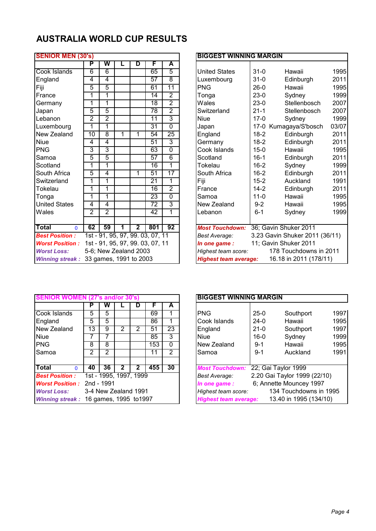| <b>SENIOR MEN (30's)</b>     |                |                        |   |                |                                  |                 | <b>BIGGEST WINNING MARGIN</b>                                |
|------------------------------|----------------|------------------------|---|----------------|----------------------------------|-----------------|--------------------------------------------------------------|
|                              | P              | W                      |   | D              | F                                | A               |                                                              |
| Cook Islands                 | 6              | $\overline{6}$         |   |                | 65                               | $\overline{5}$  | $31 - 0$<br><b>United States</b><br>Hawaii<br>1 <sub>c</sub> |
| England                      | 4              | 4                      |   |                | 57                               | $\overline{8}$  | 20<br>$31 - 0$<br>Edinburgh<br>Luxembourg                    |
| Fiji                         | 5              | 5                      |   |                | 61                               | $\overline{11}$ | 1 <sup>c</sup><br><b>PNG</b><br>$26-0$<br>Hawaii             |
| France                       | 1              | 1                      |   |                | $\overline{14}$                  | $\overline{2}$  | 1 <sup>c</sup><br>$23-0$<br>Sydney<br>Tonga                  |
| Germany                      | 1              | 1                      |   |                | 18                               | $\overline{2}$  | 20<br>$23-0$<br>Wales<br>Stellenbosch                        |
| Japan                        | 5              | 5                      |   |                | 78                               | $\overline{2}$  | 20<br>$21 - 1$<br>Switzerland<br>Stellenbosch                |
| Lebanon                      | $\overline{2}$ | $\overline{2}$         |   |                | $\overline{11}$                  | 3               | 1 <sup>c</sup><br><b>Niue</b><br>$17-0$<br>Sydney            |
| Luxembourg                   | 1              | 1                      |   |                | $\overline{31}$                  | $\overline{0}$  | 03<br>Japan<br>17-0 Kumagaya/S'bosch                         |
| New Zealand                  | 10             | 8                      | 1 | 1              | 54                               | $\overline{25}$ | 20<br>England<br>$18-2$<br>Edinburgh                         |
| <b>Niue</b>                  | 4              | 4                      |   |                | 51                               | 3               | 20<br>$18-2$<br>Germany<br>Edinburgh                         |
| <b>PNG</b>                   | 3              | 3                      |   |                | 63                               | $\overline{0}$  | 1 <sub>c</sub><br>Cook Islands<br>$15-0$<br>Hawaii           |
| Samoa                        | 5              | 5                      |   |                | 57                               | $\overline{6}$  | 20<br>Scotland<br>$16 - 1$<br>Edinburgh                      |
| Scotland                     | 1              | 1                      |   |                | 16                               | 1               | 1 <sup>c</sup><br>$16 - 2$<br>Tokelau<br>Sydney              |
| South Africa                 | 5              | $\overline{4}$         |   | 1              | $\overline{51}$                  | $\overline{17}$ | 20<br>$16 - 2$<br>South Africa<br>Edinburgh                  |
| Switzerland                  | $\overline{1}$ | 1                      |   |                | 21                               | 1               | 1 <sub>c</sub><br>Fiji<br>$15 - 2$<br>Auckland               |
| Tokelau                      | 1              | 1                      |   |                | 16                               | $\overline{2}$  | 20<br>$14 - 2$<br>France<br>Edinburgh                        |
| Tonga                        | 1              | 1                      |   |                | 23                               | $\overline{0}$  | 1 <sub>c</sub><br>$11 - 0$<br>Samoa<br>Hawaii                |
| <b>United States</b>         | 4              | 4                      |   |                | $\overline{72}$                  | 3               | 1 <sub>c</sub><br>New Zealand<br>$9 - 2$<br>Hawaii           |
| Wales                        | $\overline{2}$ | $\overline{2}$         |   |                | 42                               | 1               | $6 - 1$<br>1 <sub>c</sub><br>Lebanon<br>Sydney               |
|                              |                |                        |   |                |                                  |                 |                                                              |
| <b>Total</b><br>$\mathbf{0}$ | 62             | 59                     | 1 | $\overline{2}$ | 801                              | 92              | 36; Gavin Shuker 2011<br><b>Most Touchdown:</b>              |
| <b>Best Position:</b>        |                |                        |   |                | 1st - 91, 95, 97, 99, 03, 07, 11 |                 | 3.23 Gavin Shuker 2011 (36/11<br>Best Average:               |
| <b>Worst Position:</b>       |                |                        |   |                | 1st - 91, 95, 97, 99. 03, 07, 11 |                 | 11; Gavin Shuker 2011<br>In one game :                       |
| <b>Worst Loss:</b>           |                | 5-6; New Zealand 2003  |   |                |                                  |                 | 178 Touchdowns in 2011<br>Highest team score:                |
| <b>Winning streak:</b>       |                | 33 games, 1991 to 2003 |   |                |                                  |                 | 16.18 in 2011 (178/11)<br><b>Highest team average:</b>       |

| <b>SENIOR MEN (30's)</b> |                |                        |   |                         |                                  |                 | <b>BIGGEST WINNING MARGIN</b> |          |                                |       |
|--------------------------|----------------|------------------------|---|-------------------------|----------------------------------|-----------------|-------------------------------|----------|--------------------------------|-------|
|                          | P              | W                      |   | D                       | F                                | A               |                               |          |                                |       |
| Cook Islands             | 6              | 6                      |   |                         | 65                               | 5               | <b>United States</b>          | $31-0$   | Hawaii                         | 1995  |
| England                  | 4              | $\overline{4}$         |   |                         | 57                               | 8               | Luxembourg                    | $31 - 0$ | Edinburgh                      | 2011  |
| Fiji                     | 5              | $\overline{5}$         |   |                         | 61                               | 11              | <b>PNG</b>                    | $26-0$   | Hawaii                         | 1995  |
| France                   | 1              | 1                      |   |                         | 14                               | $\overline{2}$  | Tonga                         | $23-0$   | Sydney                         | 1999  |
| Germany                  | 1              | 1                      |   |                         | 18                               | $\overline{2}$  | Wales                         | $23-0$   | Stellenbosch                   | 2007  |
| Japan                    | 5              | $\overline{5}$         |   |                         | 78                               | $\overline{2}$  | Switzerland                   | $21 - 1$ | Stellenbosch                   | 2007  |
| Lebanon                  | $\overline{2}$ | $\overline{2}$         |   |                         | $\overline{11}$                  | 3               | <b>Niue</b>                   | $17-0$   | Sydney                         | 1999  |
| Luxembourg               | 1              | 1                      |   |                         | 31                               | 0               | Japan                         |          | 17-0 Kumagaya/S'bosch          | 03/07 |
| New Zealand              | 10             | $\overline{8}$         | 1 | 1                       | 54                               | 25              | England                       | $18 - 2$ | Edinburgh                      | 2011  |
| <b>Niue</b>              | 4              | $\overline{4}$         |   |                         | 51                               | 3               | Germany                       | $18 - 2$ | Edinburgh                      | 2011  |
| <b>PNG</b>               | 3              | 3                      |   |                         | 63                               | $\overline{0}$  | Cook Islands                  | $15 - 0$ | Hawaii                         | 1995  |
| Samoa                    | 5              | $\overline{5}$         |   |                         | 57                               | 6               | Scotland                      | $16 - 1$ | Edinburgh                      | 2011  |
| Scotland                 | 1              | 1                      |   |                         | 16                               | 1               | Tokelau                       | $16 - 2$ | Sydney                         | 1999  |
| South Africa             | $\overline{5}$ | 4                      |   | 1                       | 51                               | $\overline{17}$ | South Africa                  | $16 - 2$ | Edinburgh                      | 2011  |
| Switzerland              | 1              | 1                      |   |                         | 21                               | 1               | Fiji                          | $15 - 2$ | Auckland                       | 1991  |
| Tokelau                  | 1              | 1                      |   |                         | 16                               | $\overline{2}$  | France                        | $14 - 2$ | Edinburgh                      | 2011  |
| Tonga                    | 1              | 1                      |   |                         | 23                               | $\overline{0}$  | Samoa                         | $11 - 0$ | Hawaii                         | 1995  |
| <b>United States</b>     | 4              | $\overline{4}$         |   |                         | 72                               | 3               | New Zealand                   | $9 - 2$  | Hawaii                         | 1995  |
| Wales                    | $\overline{2}$ | $\overline{2}$         |   |                         | 42                               | 1               | Lebanon                       | $6 - 1$  | Sydney                         | 1999  |
|                          |                |                        |   |                         |                                  |                 |                               |          |                                |       |
| Total<br>$\mathbf{0}$    | 62             | 59                     | 1 | $\overline{\mathbf{2}}$ | 801                              | 92              | <b>Most Touchdown:</b>        |          | 36; Gavin Shuker 2011          |       |
| <b>Best Position:</b>    |                |                        |   |                         | 1st - 91, 95, 97, 99. 03, 07, 11 |                 | Best Average:                 |          | 3.23 Gavin Shuker 2011 (36/11) |       |
| <b>Worst Position:</b>   |                |                        |   |                         | 1st - 91, 95, 97, 99. 03, 07, 11 |                 | In one game:                  |          | 11; Gavin Shuker 2011          |       |
| <b>Worst Loss:</b>       |                | 5-6; New Zealand 2003  |   |                         |                                  |                 | Highest team score:           |          | 178 Touchdowns in 2011         |       |
| <b>Winning streak:</b>   |                | 33 games, 1991 to 2003 |   |                         |                                  |                 | <b>Highest team average:</b>  |          | 16.18 in 2011 (178/11)         |       |

|                                        |    |                        |   |   |     |          | <b>BIGGEST WINNING MARGIN</b>                          |
|----------------------------------------|----|------------------------|---|---|-----|----------|--------------------------------------------------------|
|                                        |    | w                      |   |   |     | A        |                                                        |
| Cook Islands                           | 5  | 5.                     |   |   | 69  |          | <b>PNG</b><br>19<br>$25-0$<br>Southport                |
| England                                | 5  | 5                      |   |   | 86  |          | 19<br>Cook Islands<br>$24-0$<br>Hawaii                 |
| New Zealand                            | 13 | 9                      | 2 |   | 51  | 23       | England<br>19<br>$21 - 0$<br>Southport                 |
| Niue                                   |    |                        |   |   | 85  | 3        | 19<br>Sydney<br><b>Niue</b><br>$16 - 0$                |
| <b>PNG</b>                             | 8  | 8                      |   |   | 153 | $\Omega$ | 19<br>Hawaii<br>New Zealand<br>$9 - 1$                 |
| Samoa                                  | 2  | 2                      |   |   | 11  | 2        | 19<br>$9 - 1$<br>Auckland<br>Samoa                     |
|                                        |    |                        |   |   |     |          |                                                        |
| Total<br><sup>0</sup>                  | 40 | 36                     | 2 | 2 | 455 | 30       | <b>Most Touchdown:</b><br>22; Gai Taylor 1999          |
| <b>Best Position:</b>                  |    | 1st - 1995, 1997, 1999 |   |   |     |          | 2.20 Gai Taylor 1999 (22/10)<br><b>Best Average:</b>   |
| <b>Worst Position: 2nd - 1991</b>      |    |                        |   |   |     |          | 6; Annette Mouncey 1997<br>In one game:                |
| <b>Worst Loss:</b>                     |    | 3-4 New Zealand 1991   |   |   |     |          | 134 Touchdowns in 1995<br>Highest team score:          |
| Winning streak: 16 games, 1995 to 1997 |    |                        |   |   |     |          | 13.40 in 1995 (134/10)<br><b>Highest team average:</b> |

| <b>SENIOR V</b>        |                |                        |   |   |     |                | <b>BIGGEST WINNING MARGIN</b>                          |      |
|------------------------|----------------|------------------------|---|---|-----|----------------|--------------------------------------------------------|------|
|                        |                | w                      |   | D |     | А              |                                                        |      |
| Cook Islands           | 5              | 5                      |   |   | 69  |                | <b>PNG</b><br>$25-0$<br>Southport                      | 1997 |
| England                | 5              | 5                      |   |   | 86  |                | Cook Islands<br>$24-0$<br>Hawaii                       | 1995 |
| New Zealand            | 13             | 9                      | 2 | 2 | 51  | 23             | England<br>Southport<br>$21-0$                         | 1997 |
| Niue                   |                |                        |   |   | 85  | 3              | Sydney<br><b>Niue</b><br>$16-0$                        | 1999 |
| PNG                    | 8              | 8                      |   |   | 153 | 0              | Hawaii<br>New Zealand<br>$9 - 1$                       | 1995 |
| Samoa                  | $\overline{2}$ | 2                      |   |   | 11  | $\overline{2}$ | Auckland<br>$9 - 1$<br>Samoa                           | 1991 |
| Total<br>n             | 40             | 36                     | 2 | 2 | 455 | 30             | <b>Most Touchdown:</b><br>22; Gai Taylor 1999          |      |
| <b>Best Position:</b>  |                | 1st - 1995, 1997, 1999 |   |   |     |                | 2.20 Gai Taylor 1999 (22/10)<br><b>Best Average:</b>   |      |
| <b>Worst Position:</b> |                | 2nd - 1991             |   |   |     |                | 6; Annette Mouncey 1997<br>In one game :               |      |
| <b>Worst Loss:</b>     |                | 3-4 New Zealand 1991   |   |   |     |                | 134 Touchdowns in 1995<br>Highest team score:          |      |
| <b>Winning streak:</b> |                | 16 games, 1995 to 1997 |   |   |     |                | 13.40 in 1995 (134/10)<br><b>Highest team average:</b> |      |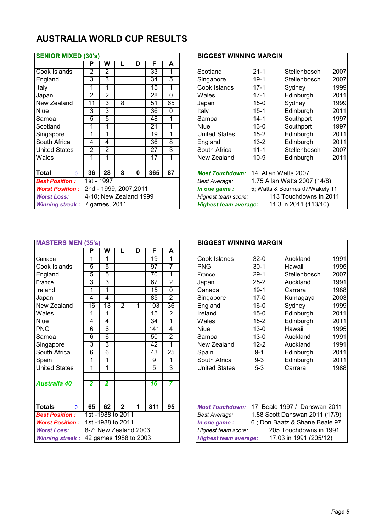| <b>SENIOR MIXED (30's)</b> |                |                        |   |   |     |                 | <b>BIGGEST WINNING MARGIN</b>                         |
|----------------------------|----------------|------------------------|---|---|-----|-----------------|-------------------------------------------------------|
|                            | P              | w                      |   | D | F   | A               |                                                       |
| Cook Islands               | 2              | 2                      |   |   | 33  |                 | $21 - 1$<br>Scotland<br>Stellenbosch                  |
| England                    | 3              | 3                      |   |   | 34  | 5               | $19-1$<br>Singapore<br>Stellenbosch                   |
| Italy                      | 1              |                        |   |   | 15  |                 | Cook Islands<br>$17 - 1$<br>Sydney                    |
| Japan                      | 2              | 2                      |   |   | 28  | $\Omega$        | Wales<br>$17-1$<br>Edinburgh                          |
| New Zealand                | 11             | 3                      | 8 |   | 51  | 65              | Sydney<br>$15-0$<br>Japan                             |
| <b>Niue</b>                | 3              | 3                      |   |   | 36  | $\Omega$        | Italy<br>$15 - 1$<br>Edinburgh                        |
| Samoa                      | 5              | 5                      |   |   | 48  | 1               | Southport<br>Samoa<br>$14 - 1$                        |
| Scotland                   |                |                        |   |   | 21  |                 | <b>Niue</b><br>$13 - 0$<br>Southport                  |
| Singapore                  | 1              | 1                      |   |   | 19  | 1               | <b>United States</b><br>$15 - 2$<br>Edinburgh         |
| South Africa               | 4              | 4                      |   |   | 36  | 8               | $13 - 2$<br>Edinburgh<br>England                      |
| <b>United States</b>       | $\overline{2}$ | $\overline{2}$         |   |   | 27  | 3               | South Africa<br>$11 - 1$<br>Stellenbosch              |
| Wales                      | 1              |                        |   |   | 17  | 1               | New Zealand<br>$10-9$<br>Edinburgh                    |
| Total<br>$\Omega$          | 36             | 28                     | 8 | 0 | 365 | $\overline{87}$ | <b>Most Touchdown:</b><br>14; Allan Watts 2007        |
| <b>Best Position:</b>      |                | 1st - 1997             |   |   |     |                 | 1.75 Allan Watts 2007 (14/8)<br>Best Average:         |
| <b>Worst Position:</b>     |                | 2nd - 1999, 2007, 2011 |   |   |     |                 | 5; Watts & Bournes 07/Wakely 11<br>In one game:       |
| <b>Worst Loss:</b>         |                | 4-10; New Zealand 1999 |   |   |     |                 | 113 Touchdowns in 2011<br>Highest team score:         |
| <b>Winning streak:</b>     |                | 7 games, 2011          |   |   |     |                 | 11.3 in 2011 (113/10)<br><b>Highest team average:</b> |

| <b>SENIOR MIXED (30's)</b> |    |                        |   |   |     |    | <b>BIGGEST WINNING MARGIN</b>                  |                                 |
|----------------------------|----|------------------------|---|---|-----|----|------------------------------------------------|---------------------------------|
|                            |    |                        |   |   |     |    |                                                |                                 |
|                            | P  | W                      |   | D | F   | A  |                                                |                                 |
| Cook Islands               | 2  | $\overline{2}$         |   |   | 33  |    | Scotland<br>$21 - 1$                           | 2007<br>Stellenbosch            |
| England                    | 3  | 3                      |   |   | 34  | 5  | $19-1$<br>Singapore                            | 2007<br>Stellenbosch            |
| Italy                      |    |                        |   |   | 15  |    | Cook Islands<br>$17-1$                         | 1999<br>Sydney                  |
| Japan                      | 2  | $\overline{2}$         |   |   | 28  | 0  | Wales<br>$17 - 1$                              | 2011<br>Edinburgh               |
| New Zealand                | 11 | 3                      | 8 |   | 51  | 65 | $15-0$<br>Japan                                | 1999<br>Sydney                  |
| Niue                       | 3  | 3                      |   |   | 36  | 0  | Italy<br>$15 - 1$                              | 2011<br>Edinburgh               |
| Samoa                      | 5  | 5                      |   |   | 48  | 1  | Samoa<br>$14 - 1$                              | 1997<br>Southport               |
| Scotland                   |    |                        |   |   | 21  | 1  | <b>Niue</b><br>$13 - 0$                        | 1997<br>Southport               |
| Singapore                  |    |                        |   |   | 19  |    | <b>United States</b><br>$15 - 2$               | 2011<br>Edinburgh               |
| South Africa               | 4  | 4                      |   |   | 36  | 8  | England<br>$13 - 2$                            | 2011<br>Edinburgh               |
| <b>United States</b>       | 2  | $\overline{2}$         |   |   | 27  | 3  | South Africa<br>$11 - 1$                       | 2007<br>Stellenbosch            |
| Wales                      |    |                        |   |   | 17  |    | New Zealand<br>$10-9$                          | 2011<br>Edinburgh               |
|                            |    |                        |   |   |     |    |                                                |                                 |
| Total<br>$\Omega$          | 36 | 28                     | 8 | 0 | 365 | 87 | 14; Allan Watts 2007<br><b>Most Touchdown:</b> |                                 |
| <b>Best Position:</b>      |    | $1st - 1997$           |   |   |     |    | Best Average:                                  | 1.75 Allan Watts 2007 (14/8)    |
| <b>Worst Position :</b>    |    | 2nd - 1999, 2007, 2011 |   |   |     |    | In one game:                                   | 5; Watts & Bournes 07/Wakely 11 |
| <b>Worst Loss:</b>         |    | 4-10; New Zealand 1999 |   |   |     |    | Highest team score:                            | 113 Touchdowns in 2011          |
| <b>Winning streak:</b>     |    | 7 games, 2011          |   |   |     |    | <b>Highest team average:</b>                   | 11.3 in 2011 (113/10)           |

| <b>MASTERS MEN (35's)</b> |                |                       |                |   |     |                | <b>BIGGEST WINNING MARGIN</b> |          |                               |                |
|---------------------------|----------------|-----------------------|----------------|---|-----|----------------|-------------------------------|----------|-------------------------------|----------------|
|                           | P              | W                     |                | D | F   | A              |                               |          |                               |                |
| Canada                    | 1              |                       |                |   | 19  | 1              | Cook Islands                  | $32 - 0$ | Auckland                      | 1 <sub>c</sub> |
| Cook Islands              | 5              | 5                     |                |   | 97  | 7              | <b>PNG</b>                    | $30-1$   | Hawaii                        | 1 <sub>c</sub> |
| England                   | 5              | 5                     |                |   | 70  | 1              | France                        | $29-1$   | Stellenbosch                  | 2 <sub>C</sub> |
| France                    | 3              | 3                     |                |   | 67  | $\overline{2}$ | Japan                         | $25 - 2$ | Auckland                      | 1 <sub>c</sub> |
| Ireland                   | 1              | 1                     |                |   | 15  | $\overline{0}$ | Canada                        | $19-1$   | Carrara                       | 1 <sub>c</sub> |
| Japan                     | 4              | 4                     |                |   | 85  | $\overline{2}$ | Singapore                     | $17-0$   | Kumagaya                      | 20             |
| New Zealand               | 16             | $\overline{13}$       | $\overline{2}$ | 1 | 103 | 36             | England                       | $16 - 0$ | Sydney                        | 1 <sub>c</sub> |
| Wales                     | 1              | 1                     |                |   | 15  | $\overline{2}$ | Ireland                       | $15 - 0$ | Edinburgh                     | 20             |
| <b>Niue</b>               | 4              | 4                     |                |   | 34  | 1              | Wales                         | $15 - 2$ | Edinburgh                     | 20             |
| <b>PNG</b>                | 6              | 6                     |                |   | 141 | $\overline{4}$ | <b>Niue</b>                   | $13 - 0$ | Hawaii                        | 1 <sup>c</sup> |
| Samoa                     | $\overline{6}$ | $\overline{6}$        |                |   | 50  | $\overline{2}$ | Samoa                         | $13 - 0$ | Auckland                      | 1 <sup>c</sup> |
| Singapore                 | 3              | 3                     |                |   | 42  | 1              | New Zealand                   | $12 - 2$ | Auckland                      | 1 <sub>c</sub> |
| South Africa              | 6              | 6                     |                |   | 43  | 25             | Spain                         | $9 - 1$  | Edinburgh                     | 20             |
| Spain                     | 1              | 1                     |                |   | 9   | 1              | South Africa                  | $9 - 3$  | Edinburgh                     | 20             |
| <b>United States</b>      | 1              | 1                     |                |   | 5   | 3              | <b>United States</b>          | $5-3$    | Carrara                       | 1 <sub>c</sub> |
| <b>Australia 40</b>       | 2              | 2                     |                |   | 16  | 7              |                               |          |                               |                |
|                           |                |                       |                |   |     |                |                               |          |                               |                |
| <b>Totals</b><br>$\Omega$ | 65             | 62                    | $\overline{2}$ | 1 | 811 | 95             | <b>Most Touchdown:</b>        |          | 17; Beale 1997 / Danswan 201  |                |
| <b>Best Position:</b>     |                | 1st -1988 to 2011     |                |   |     |                | <b>Best Average:</b>          |          | 1.88 Scott Danswan 2011 (17/9 |                |
| <b>Worst Position:</b>    |                | 1st -1988 to 2011     |                |   |     |                | In one game:                  |          | 6; Don Baatz & Shane Beale 9  |                |
| <b>Worst Loss:</b>        |                | 8-7; New Zealand 2003 |                |   |     |                | Highest team score:           |          | 205 Touchdowns in 1991        |                |
| <b>Winning streak:</b>    |                | 42 games 1988 to 2003 |                |   |     |                | <b>Highest team average:</b>  |          | 17.03 in 1991 (205/12)        |                |

| <b>MASTERS MEN (35's)</b> |    |                 |                         |   |     |                 | <b>BIGGEST WINNING MARGIN</b> |          |                                |      |
|---------------------------|----|-----------------|-------------------------|---|-----|-----------------|-------------------------------|----------|--------------------------------|------|
|                           | P  | W               |                         | D | F   | A               |                               |          |                                |      |
| Canada                    | 1  | 1               |                         |   | 19  | 1               | Cook Islands                  | $32-0$   | Auckland                       | 1991 |
| Cook Islands              | 5  | $\overline{5}$  |                         |   | 97  | 7               | <b>PNG</b>                    | $30-1$   | Hawaii                         | 1995 |
| England                   | 5  | 5               |                         |   | 70  | 1               | France                        | $29-1$   | Stellenbosch                   | 2007 |
| France                    | 3  | 3               |                         |   | 67  | $\overline{2}$  | Japan                         | $25 - 2$ | Auckland                       | 1991 |
| Ireland                   | 1  | 1               |                         |   | 15  | $\overline{0}$  | Canada                        | $19-1$   | Carrara                        | 1988 |
| Japan                     | 4  | 4               |                         |   | 85  | $\overline{2}$  | Singapore                     | $17-0$   | Kumagaya                       | 2003 |
| New Zealand               | 16 | $\overline{13}$ | $\overline{2}$          | 1 | 103 | $\overline{36}$ | England                       | $16 - 0$ | Sydney                         | 1999 |
| Wales                     | 1  | 1               |                         |   | 15  | $\overline{2}$  | Ireland                       | $15-0$   | Edinburgh                      | 2011 |
| <b>Niue</b>               | 4  | 4               |                         |   | 34  | 1               | Wales                         | $15 - 2$ | Edinburgh                      | 2011 |
| <b>PNG</b>                | 6  | $\overline{6}$  |                         |   | 141 | 4               | <b>Niue</b>                   | $13 - 0$ | Hawaii                         | 1995 |
| Samoa                     | 6  | $\overline{6}$  |                         |   | 50  | 2               | Samoa                         | $13 - 0$ | Auckland                       | 1991 |
| Singapore                 | 3  | $\overline{3}$  |                         |   | 42  | 1               | New Zealand                   | $12 - 2$ | Auckland                       | 1991 |
| South Africa              | 6  | $6\overline{6}$ |                         |   | 43  | 25              | Spain                         | $9 - 1$  | Edinburgh                      | 2011 |
| Spain                     | 1  | 1               |                         |   | 9   | 1               | South Africa                  | $9 - 3$  | Edinburgh                      | 2011 |
| <b>United States</b>      | 1  | 1               |                         |   | 5   | 3               | <b>United States</b>          | $5-3$    | Carrara                        | 1988 |
| <b>Australia 40</b>       | 2  | $\overline{2}$  |                         |   | 16  | 7               |                               |          |                                |      |
|                           |    |                 |                         |   |     |                 |                               |          |                                |      |
| Totals<br>0               | 65 | 62              | $\overline{\mathbf{2}}$ | 1 | 811 | 95              | <b>Most Touchdown:</b>        |          | 17; Beale 1997 / Danswan 2011  |      |
| <b>Best Position:</b>     |    |                 | 1st -1988 to 2011       |   |     |                 | Best Average:                 |          | 1.88 Scott Danswan 2011 (17/9) |      |
| <b>Worst Position:</b>    |    |                 | 1st -1988 to 2011       |   |     |                 | In one game:                  |          | 6; Don Baatz & Shane Beale 97  |      |
| <b>Worst Loss:</b>        |    |                 | 8-7; New Zealand 2003   |   |     |                 | Highest team score:           |          | 205 Touchdowns in 1991         |      |
| <b>Winning streak:</b>    |    |                 | 42 games 1988 to 2003   |   |     |                 | <b>Highest team average:</b>  |          | 17.03 in 1991 (205/12)         |      |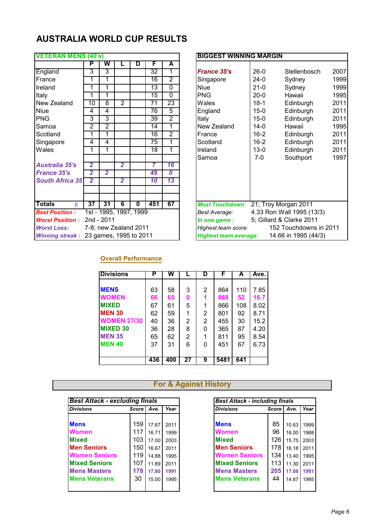| <b>VETERAN MENS (40's)</b> |                |                |                |                        |                 |                  | <b>BIGGEST WINNING MARGIN</b>                        |
|----------------------------|----------------|----------------|----------------|------------------------|-----------------|------------------|------------------------------------------------------|
|                            | P              | W              |                | D                      | F               | A                |                                                      |
| England                    | 3              | 3              |                |                        | 32              | 1                | <b>France 35's</b><br>$26-0$<br>Stellenbosch<br>20   |
| France                     | 1              | 1              |                |                        | 16              | $\overline{2}$   | 1 <sub>c</sub><br>$24-0$<br>Singapore<br>Sydney      |
| Ireland                    | 1              | 1              |                |                        | 13              | $\overline{0}$   | 1 <sub>c</sub><br><b>Niue</b><br>$21-0$<br>Sydney    |
| Italy                      | 1              | 1              |                |                        | $\overline{15}$ | $\Omega$         | 1 <sub>c</sub><br><b>PNG</b><br>$20-0$<br>Hawaii     |
| New Zealand                | 10             | 8              | $\overline{2}$ |                        | 71              | 23               | 20<br>Wales<br>$18 - 1$<br>Edinburgh                 |
| <b>Niue</b>                | 4              | 4              |                |                        | 76              | 5                | 20<br>$15-0$<br>Edinburgh<br>England                 |
| <b>PNG</b>                 | 3              | 3              |                |                        | 39              | $\overline{2}$   | 20<br>$15-0$<br>Italy<br>Edinburgh                   |
| Samoa                      | $\overline{2}$ | $\overline{2}$ |                |                        | 14              | 1                | 1 <sub>c</sub><br>New Zealand<br>$14 - 0$<br>Hawaii  |
| Scotland                   | 1              | 1              |                |                        | 16              | $\overline{2}$   | 20<br>$16 - 2$<br>Edinburgh<br>France                |
| Singapore                  | 4              | 4              |                |                        | 75              | 1                | 20<br>$16 - 2$<br>Scotland<br>Edinburgh              |
| Wales                      | 1              | 1              |                |                        | 18              | 1                | 20<br>$13 - 0$<br>Ireland<br>Edinburgh               |
|                            |                |                |                |                        |                 |                  | 1 <sub>c</sub><br>Southport<br>Samoa<br>$7-0$        |
| <b>Australia 35's</b>      | $\overline{2}$ |                | $\overline{2}$ |                        | 7               | 16               |                                                      |
| <b>France 35's</b>         | $\overline{2}$ | $\overline{2}$ |                |                        | 49              | $\boldsymbol{0}$ |                                                      |
| <b>South Africa 35'</b>    | $\overline{2}$ |                | $\overline{2}$ |                        | 10              | 13               |                                                      |
|                            |                |                |                |                        |                 |                  |                                                      |
|                            |                |                |                |                        |                 |                  |                                                      |
| <b>Totals</b><br>$\Omega$  | 37             | 31             | 6              | $\bf{0}$               | 451             | 67               | <b>Most Touchdown:</b><br>21; Troy Morgan 2011       |
| <b>Best Position:</b>      |                |                |                | 1st - 1995, 1997, 1999 |                 |                  | 4.33 Ron Wall 1995 (13/3)<br><b>Best Average:</b>    |
| <b>Worst Position:</b>     |                | 2nd - 2011     |                |                        |                 |                  | 5; Gillard & Clarke 2011<br>In one game :            |
| <b>Worst Loss:</b>         |                |                |                | 7-8; new Zealand 2011  |                 |                  | 152 Touchdowns in 2011<br>Highest team score:        |
| <b>Winning streak:</b>     |                |                |                | 23 games, 1995 to 2011 |                 |                  | <b>Highest team average:</b><br>14.66 in 1995 (44/3) |

| <b>VETERAN MENS (40's)</b> |                         |                        |                |                         |                 |                |
|----------------------------|-------------------------|------------------------|----------------|-------------------------|-----------------|----------------|
|                            | Р                       | W                      |                | D                       | F               | A              |
| England                    | 3                       | 3                      |                |                         | 32              | 1              |
| France                     | 1                       | 1                      |                |                         | 16              | $\overline{2}$ |
| Ireland                    | 1                       | 1                      |                |                         | 13              | $\mathbf{0}$   |
| Italy                      | 1                       | 1                      |                |                         | 15              | $\overline{0}$ |
| New Zealand                | 10                      | $\overline{8}$         | $\overline{2}$ |                         | $\overline{71}$ | 23             |
| Niue                       | 4                       | 4                      |                |                         | 76              | 5              |
| <b>PNG</b>                 | 3                       | 3                      |                |                         | 39              | $\overline{2}$ |
| Samoa                      | $\overline{2}$          | $\overline{2}$         |                |                         | 14              | 1              |
| Scotland                   | 1                       |                        |                |                         | 16              | $\overline{2}$ |
| Singapore                  | 4                       | 4                      |                |                         | 75              | 1              |
| Wales                      | 1                       | 1                      |                |                         | 18              | 1              |
|                            |                         |                        |                |                         |                 |                |
| <b>Australia 35's</b>      | $\overline{2}$          |                        | $\overline{2}$ |                         | 7               | 16             |
| <b>France 35's</b>         | $\overline{\mathbf{2}}$ | $\overline{2}$         |                |                         | 49              | 0              |
| <b>South Africa 35'</b>    | $\overline{2}$          |                        | $\overline{2}$ |                         | 10              | 13             |
|                            |                         |                        |                |                         |                 |                |
|                            |                         |                        |                |                         |                 |                |
| Totals<br>$\mathbf{0}$     | 37                      | 31                     | 6              | $\overline{\mathbf{0}}$ | 451             | 67             |
| <b>Best Position:</b>      |                         | 1st - 1995, 1997, 1999 |                |                         |                 |                |
| <b>Worst Position:</b>     |                         | 2nd - 2011             |                |                         |                 |                |
| <b>Worst Loss:</b>         |                         | 7-8; new Zealand 2011  |                |                         |                 |                |
| <b>Winning streak:</b>     |                         | 23 games, 1995 to 2011 |                |                         |                 |                |

#### **Overall Performance**

| <b>Divisions</b>   | Р   | W   |    | D | F    | A   | Ave. |
|--------------------|-----|-----|----|---|------|-----|------|
|                    |     |     |    |   |      |     |      |
| <b>MENS</b>        | 63  | 58  | 3  | 2 | 864  | 110 | 7.85 |
| <b>WOMEN</b>       | 66  | 65  | Ω  |   | 868  | 52  | 16.7 |
| <b>MIXED</b>       | 67  | 61  | 5  | 1 | 866  | 108 | 8.02 |
| <b>MEN 30</b>      | 62  | 59  | 1  | 2 | 801  | 92  | 8.71 |
| <b>WOMEN 27/30</b> | 40  | 36  | 2  | 2 | 455  | 30  | 15.2 |
| <b>MIXED 30</b>    | 36  | 28  | 8  | 0 | 365  | 87  | 4.20 |
| <b>MEN 35</b>      | 65  | 62  | 2  |   | 811  | 95  | 8.54 |
| <b>MEN 40</b>      | 37  | 31  | 6  | 0 | 451  | 67  | 6.73 |
|                    |     |     |    |   |      |     |      |
|                    | 436 | 400 | 27 | 9 | 5481 | 641 |      |

| <b>Best Attack - excluding finals</b>                                                                             |         |       |      | <b>Best Attack - including finals</b> |         |       |                                           |
|-------------------------------------------------------------------------------------------------------------------|---------|-------|------|---------------------------------------|---------|-------|-------------------------------------------|
| <b>Divisions</b>                                                                                                  | Score I | Ave.  | Year | <b>Divisions</b>                      | Score I | Ave.  | Year                                      |
| <b>Mens</b>                                                                                                       | 159     | 17.67 | 2011 | <b>Mens</b>                           | 85      | 10.63 | 1999                                      |
| <b>Women</b>                                                                                                      | 117     | 16.71 | 1999 | <b>Women</b>                          | 96      | 16.00 | 1988                                      |
| <b>Mixed</b>                                                                                                      | 103     | 17.00 | 2003 | <b>Mixed</b>                          | 126     | 15.75 | 2003                                      |
|                                                                                                                   | 150     | 16.67 | 2011 | <b>Men Seniors</b>                    | 178     |       | 2011                                      |
|                                                                                                                   | 119     | 14.88 | 1995 | <b>Women Seniors</b>                  | 134     |       | 1995                                      |
|                                                                                                                   | 107     | 11.89 | 2011 | <b>Mixed Seniors</b>                  | 113     |       | 2011                                      |
|                                                                                                                   | 178     | 17.80 | 1991 | <b>Mens Masters</b>                   | 205     |       | 1991                                      |
|                                                                                                                   | 30      | 15.00 | 1995 | <b>Mens Veterans</b>                  | 44      |       | 1995                                      |
| <b>Men Seniors</b><br><b>Women Seniors</b><br><b>Mixed Seniors</b><br><b>Mens Masters</b><br><b>Mens Veterans</b> |         |       |      |                                       |         |       | 16.18<br>13.40<br>11.30<br>17.08<br>14.67 |

|                      | <b>Best Attack - including finals</b> |            |            |  |  |  |  |  |  |  |  |  |
|----------------------|---------------------------------------|------------|------------|--|--|--|--|--|--|--|--|--|
| <b>Divisions</b>     | Score Ave.                            |            | Year       |  |  |  |  |  |  |  |  |  |
|                      |                                       |            |            |  |  |  |  |  |  |  |  |  |
| Mens                 | 85                                    | 10.63 1999 |            |  |  |  |  |  |  |  |  |  |
| Women                | 96                                    |            | 16.00 1988 |  |  |  |  |  |  |  |  |  |
| <b>Mixed</b>         | 126                                   |            | 15.75 2003 |  |  |  |  |  |  |  |  |  |
| <b>Men Seniors</b>   | 178                                   |            | 16.18 2011 |  |  |  |  |  |  |  |  |  |
| <b>Women Seniors</b> | 134                                   |            | 13.40 1995 |  |  |  |  |  |  |  |  |  |
| <b>Mixed Seniors</b> | 113                                   | 11.30 2011 |            |  |  |  |  |  |  |  |  |  |
| <b>Mens Masters</b>  | 205                                   |            | 17.08 1991 |  |  |  |  |  |  |  |  |  |
| <b>Mens Veterans</b> | 44                                    |            | 14.67 1995 |  |  |  |  |  |  |  |  |  |
|                      |                                       |            |            |  |  |  |  |  |  |  |  |  |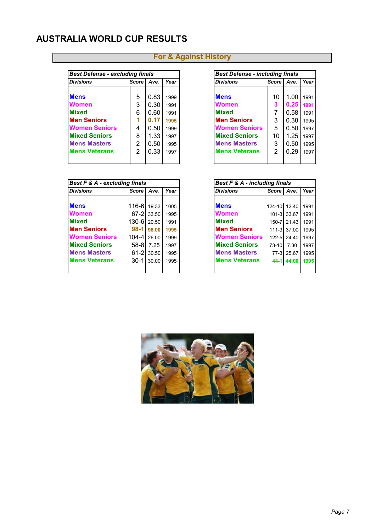| <b>Best Defense - excluding finals</b> |                |      |      | <b>Best Defense - including finals</b> |              |      |      |
|----------------------------------------|----------------|------|------|----------------------------------------|--------------|------|------|
| <b>Divisions</b>                       | Score I        | Ave. | Year | <b>Divisions</b>                       | <b>Score</b> | Ave. | Year |
|                                        |                |      |      |                                        |              |      |      |
| <b>Mens</b>                            | 5              | 0.83 | 1999 | <b>Mens</b>                            | 10           | 1.00 | 1991 |
| <b>Women</b>                           | 3              | 0.30 | 1991 | Women                                  | 3            | 0.25 | 1991 |
| <b>Mixed</b>                           | 6              | 0.60 | 1991 | <b>Mixed</b>                           | 7            | 0.58 | 1991 |
| <b>Men Seniors</b>                     |                | 0.17 | 1995 | <b>Men Seniors</b>                     | 3            | 0.38 | 1995 |
| <b>Women Seniors</b>                   | 4              | 0.50 | 1999 | <b>Women Seniors</b>                   | 5            | 0.50 | 1997 |
| <b>Mixed Seniors</b>                   | 8              | 1.33 | 1997 | <b>Mixed Seniors</b>                   | 10           | 1.25 | 1997 |
| <b>Mens Masters</b>                    | $\overline{2}$ | 0.50 | 1995 | <b>Mens Masters</b>                    | 3            | 0.50 | 1995 |
| <b>Mens Veterans</b>                   | 2              | 0.33 | 1997 | <b>Mens Veterans</b>                   | 2            | 0.29 | 1997 |
|                                        |                |      |      |                                        |              |      |      |

| <b>Best F &amp; A - excluding finals</b> |               |            |      | Best F & A - including finals |              |                 |      |
|------------------------------------------|---------------|------------|------|-------------------------------|--------------|-----------------|------|
| <b>Divisions</b>                         | <b>Score</b>  | Ave.       | Year | <b>Divisions</b>              | Score I      | Ave.            | Year |
|                                          |               |            |      |                               |              |                 |      |
| <b>Mens</b>                              | 116-61        | 19.33      | 1005 | <b>Mens</b>                   | 124-10 12.40 |                 | 1991 |
| <b>Women</b>                             |               | 67-2 33.50 | 1995 | <b>Women</b>                  |              | 101-3 33.67     | 1991 |
| <b>Mixed</b>                             | 130-61 20.501 |            | 1991 | <b>Mixed</b>                  |              | 150-7 21.43     | 1991 |
| <b>Men Seniors</b>                       | $98-1$        | 98.00      | 1995 | <b>Men Seniors</b>            |              | $111 - 3$ 37.00 | 1995 |
| <b>Women Seniors</b>                     | 104-4126.00   |            | 1999 | <b>Women Seniors</b>          |              | $122 - 5$ 24.40 | 1997 |
| <b>Mixed Seniors</b>                     | 58-81         | 7.25       | 1997 | <b>Mixed Seniors</b>          | $73-10$      | 7.30            | 1997 |
| <b>Mens Masters</b>                      |               | 61-2 30.50 | 1995 | <b>Mens Masters</b>           |              | 77-3 25.67      | 1995 |
| <b>Mens Veterans</b>                     | $30-11$       | 30.00      | 1995 | <b>Mens Veterans</b>          | $44 - 1$     | 44.00           | 1995 |
|                                          |               |            |      |                               |              |                 |      |

| <b>Best Defense - including finals</b> |              |      |      |  |  |  |  |  |  |  |  |
|----------------------------------------|--------------|------|------|--|--|--|--|--|--|--|--|
| Divisions                              | <b>Score</b> | Ave. | Year |  |  |  |  |  |  |  |  |
|                                        |              |      |      |  |  |  |  |  |  |  |  |
| <b>Mens</b>                            | 10           | 1.00 | 1991 |  |  |  |  |  |  |  |  |
| Women                                  | 3            | 0.25 | 1991 |  |  |  |  |  |  |  |  |
| <b>Mixed</b>                           | 7            | 0.58 | 1991 |  |  |  |  |  |  |  |  |
| <b>Men Seniors</b>                     | 3            | 0.38 | 1995 |  |  |  |  |  |  |  |  |
| <b>Women Seniors</b>                   | 5            | 0.50 | 1997 |  |  |  |  |  |  |  |  |
| <b>Mixed Seniors</b>                   | 10           | 1.25 | 1997 |  |  |  |  |  |  |  |  |
| <b>Mens Masters</b>                    | 3            | 0.50 | 1995 |  |  |  |  |  |  |  |  |
| <b>Mens Veterans</b>                   | 2            | 0.29 | 1997 |  |  |  |  |  |  |  |  |
|                                        |              |      |      |  |  |  |  |  |  |  |  |

| <b>Best F &amp; A - including finals</b> |              |             |      |  |  |  |  |  |  |  |
|------------------------------------------|--------------|-------------|------|--|--|--|--|--|--|--|
| <b>Divisions</b>                         | Score   Ave. |             | Year |  |  |  |  |  |  |  |
|                                          |              |             |      |  |  |  |  |  |  |  |
| Mens                                     | 124-10 12.40 |             | 1991 |  |  |  |  |  |  |  |
| Women                                    |              | 101-3 33.67 | 1991 |  |  |  |  |  |  |  |
| <b>Mixed</b>                             |              | 150-7 21.43 | 1991 |  |  |  |  |  |  |  |
| <b>Men Seniors</b>                       |              | 111-3 37.00 | 1995 |  |  |  |  |  |  |  |
| <b>Women Seniors</b>                     |              | 122-5 24.40 | 1997 |  |  |  |  |  |  |  |
| <b>Mixed Seniors</b>                     | 73-10 7.30   |             | 1997 |  |  |  |  |  |  |  |
| <b>Mens Masters</b>                      |              | 77-3 25.67  | 1995 |  |  |  |  |  |  |  |
| <b>Mens Veterans</b>                     |              | 44-1 44.00  | 1995 |  |  |  |  |  |  |  |
|                                          |              |             |      |  |  |  |  |  |  |  |

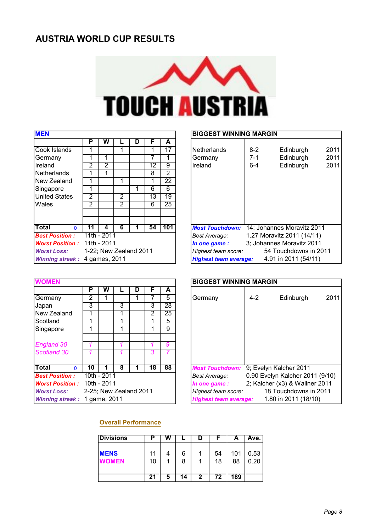

| <b>MEN</b>               |    |                        |   |   |    |     | <b>BIGGEST WINNING MARGIN</b>                                |
|--------------------------|----|------------------------|---|---|----|-----|--------------------------------------------------------------|
|                          | P  | W                      |   | D | F  | A   |                                                              |
| Cook Islands             |    |                        |   |   |    | 17  | $\overline{2}$<br><b>Netherlands</b><br>$8 - 2$<br>Edinburgh |
| Germany                  |    |                        |   |   |    |     | $\overline{2}$<br>7-1<br>Edinburgh<br>Germany                |
| Ireland                  | 2  | 2                      |   |   | 12 | 9   | $\overline{2}$<br>Ireland<br>Edinburgh<br>$6 - 4$            |
| Netherlands              |    |                        |   |   | 8  | 2   |                                                              |
| New Zealand              |    |                        |   |   | 1  | 22  |                                                              |
| Singapore                |    |                        |   |   | 6  | 6   |                                                              |
| <b>United States</b>     | 2  |                        | 2 |   | 13 | 19  |                                                              |
| Wales                    | 2  |                        | 2 |   | 6  | 25  |                                                              |
|                          |    |                        |   |   |    |     |                                                              |
| <b>Total</b><br>$\Omega$ | 11 | 4                      | 6 |   | 54 | 101 | 14; Johannes Moravitz 2011<br><b>Most Touchdown:</b>         |
| <b>Best Position:</b>    |    | 11th - 2011            |   |   |    |     | 1.27 Moravitz 2011 (14/11)<br>Best Average:                  |
| <b>Worst Position:</b>   |    | 11th - 2011            |   |   |    |     | 3; Johannes Moravitz 2011<br>In one game:                    |
| <b>Worst Loss:</b>       |    | 1-22; New Zealand 2011 |   |   |    |     | 54 Touchdowns in 2011<br>Highest team score:                 |
| <b>Winning streak:</b>   |    | 4 games, 2011          |   |   |    |     | 4.91 in 2011 (54/11)<br><b>Highest team average:</b>         |

#### **BIGGEST WINNING MARGIN**

|                        | ۲  | vv                     |                | υ | r  | A   |                                                      |
|------------------------|----|------------------------|----------------|---|----|-----|------------------------------------------------------|
| Cook Islands           |    |                        |                |   |    | 17  | <b>Netherlands</b><br>2011<br>$8-2$<br>Edinburgh     |
| Germany                |    |                        |                |   |    |     | 2011<br>Edinburgh<br>7-1<br>Germany                  |
| Ireland                | 2  | 2                      |                |   | 12 | 9   | Ireland<br>2011<br>Edinburgh<br>$6 - 4$              |
| Netherlands            |    |                        |                |   | 8  | 2   |                                                      |
| New Zealand            |    |                        |                |   |    | 22  |                                                      |
| Singapore              |    |                        |                |   | 6  | 6   |                                                      |
| <b>United States</b>   | 2  |                        | 2              |   | 13 | 19  |                                                      |
| Wales                  | 2  |                        | $\overline{2}$ |   | 6  | 25  |                                                      |
|                        |    |                        |                |   |    |     |                                                      |
|                        |    |                        |                |   |    |     |                                                      |
| Total<br><sup>n</sup>  | 11 | 4                      | 6              |   | 54 | 101 | 14; Johannes Moravitz 2011<br><b>Most Touchdown:</b> |
| <b>Best Position :</b> |    | 11th - 2011            |                |   |    |     | 1.27 Moravitz 2011 (14/11)<br>Best Average:          |
| <b>Worst Position:</b> |    | 11th - 2011            |                |   |    |     | 3; Johannes Moravitz 2011<br>In one game:            |
| <b>Worst Loss:</b>     |    | 1-22; New Zealand 2011 |                |   |    |     | 54 Touchdowns in 2011<br>Highest team score:         |
| <b>Winning streak:</b> |    | 4 games, 2011          |                |   |    |     | 4.91 in 2011 (54/11)<br><b>Highest team average:</b> |

| <b>WOMEN</b>                 |    |             |                        |   |    |    | <b>BIGGEST WINNING MARGIN</b>                        |
|------------------------------|----|-------------|------------------------|---|----|----|------------------------------------------------------|
|                              | Р  | W           |                        | D |    | A  |                                                      |
| Germany                      | 2  |             |                        |   |    | 5. | 2 <sub>0</sub><br>$4 - 2$<br>Edinburgh<br>Germany    |
| Japan                        | 3  |             | 3                      |   | 3  | 28 |                                                      |
| New Zealand                  |    |             |                        |   | 2  | 25 |                                                      |
| Scotland                     |    |             |                        |   |    | 5  |                                                      |
| Singapore                    |    |             |                        |   |    | 9  |                                                      |
| <b>England 30</b>            |    |             |                        |   |    | 9  |                                                      |
| Scotland 30                  |    |             |                        |   | 3  |    |                                                      |
| <b>Total</b><br>$\Omega$     | 10 |             | 8                      |   | 18 | 88 | <b>Most Touchdown:</b><br>9; Evelyn Kalcher 2011     |
| <b>Best Position:</b>        |    | 10th - 2011 |                        |   |    |    | 0.90 Evelyn Kalcher 2011 (9/10<br>Best Average:      |
| <b>Worst Position:</b>       |    | 10th - 2011 |                        |   |    |    | 2; Kalcher (x3) & Wallner 2011<br>In one game:       |
| <b>Worst Loss:</b>           |    |             | 2-25; New Zealand 2011 |   |    |    | 18 Touchdowns in 2011<br>Highest team score:         |
| Winning streak: 1 game, 2011 |    |             |                        |   |    |    | 1.80 in 2011 (18/10)<br><b>Highest team average:</b> |

| WOMEN                        |                        |             |   |   |    |    | <b>BIGGEST WINNING MARGIN</b>                        |      |  |  |
|------------------------------|------------------------|-------------|---|---|----|----|------------------------------------------------------|------|--|--|
|                              | Р                      | w           |   | D | F  | A  |                                                      |      |  |  |
| Germany                      | 2                      |             |   |   |    | 5  | $4 - 2$<br>Edinburgh<br>Germany                      | 2011 |  |  |
| Japan                        | 3                      |             | 3 |   | 3  | 28 |                                                      |      |  |  |
| New Zealand                  |                        |             |   |   | 2  | 25 |                                                      |      |  |  |
| Scotland                     |                        |             |   |   |    | 5  |                                                      |      |  |  |
| Singapore                    |                        |             |   |   |    | 9  |                                                      |      |  |  |
| <b>England 30</b>            |                        |             |   |   |    | 9  |                                                      |      |  |  |
| Scotland 30                  |                        |             |   |   | 3  |    |                                                      |      |  |  |
| Total<br>O.                  | 10                     |             | 8 |   | 18 | 88 | <b>Most Touchdown:</b><br>9; Evelyn Kalcher 2011     |      |  |  |
| <b>Best Position :</b>       |                        | 10th - 2011 |   |   |    |    | 0.90 Evelyn Kalcher 2011 (9/10)<br>Best Average:     |      |  |  |
| <b>Worst Position:</b>       | 10th - 2011            |             |   |   |    |    | 2; Kalcher (x3) & Wallner 2011<br>In one game :      |      |  |  |
| <b>Worst Loss:</b>           | 2-25; New Zealand 2011 |             |   |   |    |    | 18 Touchdowns in 2011<br>Highest team score:         |      |  |  |
| Winning streak: 1 game, 2011 |                        |             |   |   |    |    | 1.80 in 2011 (18/10)<br><b>Highest team average:</b> |      |  |  |

#### **Overall Performance**

| <b>Divisions</b>     |          | W |        | υ |          | А         | Ave. I       |
|----------------------|----------|---|--------|---|----------|-----------|--------------|
| <b>MENS</b><br>WOMEN | 11<br>10 |   | 6<br>8 |   | 54<br>18 | 101<br>88 | 0.53<br>0.20 |
|                      | 21       | 5 | 14     | 2 | 72       | 189       |              |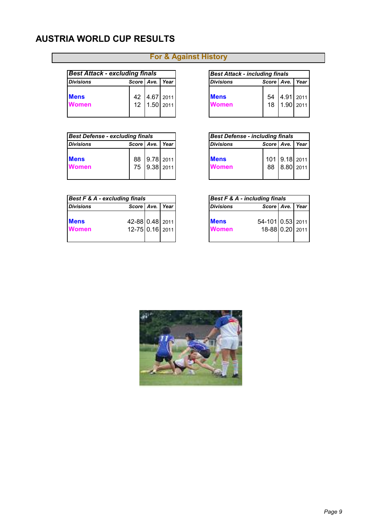| <b>Best Attack - excluding finals</b> |              |             | <b>Best Attack - including finals</b> |              |           |      |
|---------------------------------------|--------------|-------------|---------------------------------------|--------------|-----------|------|
| <b>Divisions</b>                      | Score   Ave. | Year        | <b>Divisions</b>                      | Score   Ave. |           | Year |
| <b>Mens</b>                           | 42           | 4.67 2011   | <b>Mens</b>                           | 54           | 4.91 2011 |      |
| <b>Women</b>                          | 12           | $1.50$ 2011 | <b>Women</b>                          | 18           | 1.90 2011 |      |
|                                       |              |             |                                       |              |           |      |

| <b>Best Defense - excluding finals</b> |          |                     | <b>Best Defense - including finals</b> |                             |              |                            |      |
|----------------------------------------|----------|---------------------|----------------------------------------|-----------------------------|--------------|----------------------------|------|
| <b>Divisions</b>                       |          | Score   Ave.   Year |                                        | <b>Divisions</b>            | Score   Ave. |                            | Year |
| <b>Mens</b><br><b>Women</b>            | 88<br>75 |                     | $9.78$ 2011<br>9.38   2011             | <b>Mens</b><br><b>Women</b> | 88           | 101 9.18 2011<br>8.80 2011 |      |

| Best F & A - excluding finals |                 |  |      | Best F & A - including finals |                  |      |
|-------------------------------|-----------------|--|------|-------------------------------|------------------|------|
| <b>Divisions</b>              | Score   Ave.    |  | Year | <b>Divisions</b>              | Score   Ave.     | Year |
| <b>Mens</b>                   | 42-88 0.48 2011 |  |      | <b>Mens</b>                   | 54-101 0.53 2011 |      |
| <b>Women</b>                  | 12-75 0.16 2011 |  |      | <b>Women</b>                  | 18-88 0.20 2011  |      |
|                               |                 |  |      |                               |                  |      |

| <b>Best Attack - including finals</b> |  |                              |  |  |  |  |  |  |  |  |
|---------------------------------------|--|------------------------------|--|--|--|--|--|--|--|--|
| Score Ave. Year<br>Divisions          |  |                              |  |  |  |  |  |  |  |  |
|                                       |  |                              |  |  |  |  |  |  |  |  |
| Mens                                  |  | 54 4.91 2011<br>18 1.90 2011 |  |  |  |  |  |  |  |  |
| Women                                 |  |                              |  |  |  |  |  |  |  |  |

| <b>Best Defense - including finals</b>  |  |                               |  |  |  |  |  |  |  |  |  |
|-----------------------------------------|--|-------------------------------|--|--|--|--|--|--|--|--|--|
| Score   Ave.   Year<br><b>Divisions</b> |  |                               |  |  |  |  |  |  |  |  |  |
| <b>Mens</b><br><b>Women</b>             |  | 101 9.18 2011<br>88 8.80 2011 |  |  |  |  |  |  |  |  |  |

| <b>Best F &amp; A - including finals</b> |                                     |  |  |  |  |  |  |  |  |  |
|------------------------------------------|-------------------------------------|--|--|--|--|--|--|--|--|--|
| Score   Ave.   Year<br><b>Divisions</b>  |                                     |  |  |  |  |  |  |  |  |  |
| <b>Mens</b><br>Women                     | 54-101 0.53 2011<br>18-88 0.20 2011 |  |  |  |  |  |  |  |  |  |

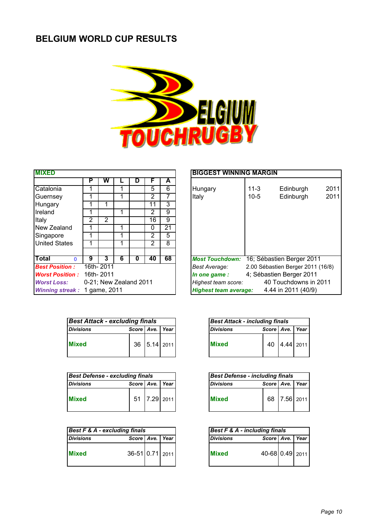## **BELGIUM WORLD CUP RESULTS**



| <b>MIXED</b>             |   |              |                        |   |                |    | <b>BIGGEST WINNING MARGIN</b>                       |
|--------------------------|---|--------------|------------------------|---|----------------|----|-----------------------------------------------------|
|                          | P | W            |                        | D | F              | A  |                                                     |
| Catalonia                |   |              |                        |   | 5              | 6  | $\overline{2}$<br>Hungary<br>$11 - 3$<br>Edinburgh  |
| Guernsey                 | 1 |              |                        |   | 2              |    | $\overline{2}$<br>Italy<br>$10 - 5$<br>Edinburgh    |
| Hungary                  |   |              |                        |   | 11             | 3  |                                                     |
| Ireland                  | 1 |              |                        |   | $\overline{2}$ | 9  |                                                     |
| Italy                    | 2 | 2            |                        |   | 16             | 9  |                                                     |
| New Zealand              | 1 |              |                        |   | 0              | 21 |                                                     |
| Singapore                |   |              |                        |   | 2              | 5  |                                                     |
| <b>United States</b>     | 1 |              |                        |   | $\overline{2}$ | 8  |                                                     |
| <b>Total</b><br>$\Omega$ | 9 | 3            | 6                      | 0 | 40             | 68 | 16; Sébastien Berger 2011<br><b>Most Touchdown:</b> |
| <b>Best Position:</b>    |   | 16th-2011    |                        |   |                |    | 2.00 Sébastien Berger 2011 (16/8<br>Best Average:   |
| <b>Worst Position:</b>   |   | 16th-2011    |                        |   |                |    | 4; Sébastien Berger 2011<br>In one game:            |
| <b>Worst Loss:</b>       |   |              | 0-21; New Zealand 2011 |   |                |    | 40 Touchdowns in 2011<br>Highest team score:        |
| <b>Winning streak:</b>   |   | 1 game, 2011 |                        |   |                |    | 4.44 in 2011 (40/9)<br><b>Highest team average:</b> |

| <b>MIXED</b>           |                        |           |   |   |    |    | <b>BIGGEST WINNING MARGIN</b> |                           |                                   |      |
|------------------------|------------------------|-----------|---|---|----|----|-------------------------------|---------------------------|-----------------------------------|------|
|                        | Р                      | W         |   | D | F  | A  |                               |                           |                                   |      |
| Catalonia              |                        |           |   |   | 5  | 6  | Hungary                       | $11 - 3$                  | Edinburgh                         | 2011 |
| Guernsey               |                        |           |   |   | 2  |    | Italy                         | $10-5$                    | Edinburgh                         | 2011 |
| Hungary                |                        |           |   |   | 11 | 3  |                               |                           |                                   |      |
| Ireland                |                        |           |   |   | 2  | 9  |                               |                           |                                   |      |
| Italy                  | 2                      | 2         |   |   | 16 | 9  |                               |                           |                                   |      |
| New Zealand            |                        |           |   |   | 0  | 21 |                               |                           |                                   |      |
| Singapore              |                        |           |   |   | 2  | 5  |                               |                           |                                   |      |
| <b>United States</b>   |                        |           |   |   | 2  | 8  |                               |                           |                                   |      |
|                        |                        |           |   |   |    |    |                               |                           |                                   |      |
| Total<br><sup>0</sup>  | 9                      | 3         | 6 | 0 | 40 | 68 | <b>Most Touchdown:</b>        | 16; Sébastien Berger 2011 |                                   |      |
| <b>Best Position :</b> |                        | 16th-2011 |   |   |    |    | <b>Best Average:</b>          |                           | 2.00 Sébastien Berger 2011 (16/8) |      |
| <b>Worst Position:</b> |                        | 16th-2011 |   |   |    |    | In one game:                  | 4; Sébastien Berger 2011  |                                   |      |
| <b>Worst Loss:</b>     | 0-21; New Zealand 2011 |           |   |   |    |    | Highest team score:           |                           | 40 Touchdowns in 2011             |      |
| <b>Winning streak:</b> | 1 game, 2011           |           |   |   |    |    | <b>Highest team average:</b>  |                           | 4.44 in 2011 (40/9)               |      |

| <b>Best Attack - excluding finals</b> |                     |              |
|---------------------------------------|---------------------|--------------|
| <b>Divisions</b>                      | Score   Ave.   Year |              |
| <b>Mixed</b>                          |                     | 36 5.14 2011 |

| <b>Best Defense - excluding finals</b> |                     |              | <b>Best Defense - including finals</b> |                     |
|----------------------------------------|---------------------|--------------|----------------------------------------|---------------------|
| <b>Divisions</b>                       | Score   Ave.   Year |              | <b>Divisions</b>                       | Score   Ave.   Year |
|                                        |                     | 51 7.29 2011 | <b>Mixed</b>                           | 68 7.56 2011        |

| <b>Best F &amp; A - excluding finals</b> |                     |  | Best F & A - including finals |                  |                     |  |
|------------------------------------------|---------------------|--|-------------------------------|------------------|---------------------|--|
| <b>Divisions</b>                         | Score   Ave.   Year |  |                               | <b>Divisions</b> | Score   Ave.   Year |  |
| <b>Mixed</b>                             | 36-51 0.71 2011     |  |                               | <b>Mixed</b>     | 40-68 0.49 2011     |  |

| <b>Best Attack - including finals</b>   |  |              |  |  |  |  |  |  |  |
|-----------------------------------------|--|--------------|--|--|--|--|--|--|--|
| Score   Ave.   Year<br><b>Divisions</b> |  |              |  |  |  |  |  |  |  |
| <b>Mixed</b>                            |  | 40 4.44 2011 |  |  |  |  |  |  |  |

| <b>Best Defense - including finals</b> |                 |              |  |  |  |  |  |  |  |  |
|----------------------------------------|-----------------|--------------|--|--|--|--|--|--|--|--|
| <b>Divisions</b>                       | Score Ave. Year |              |  |  |  |  |  |  |  |  |
| <b>IMixed</b>                          |                 | 68 7.56 2011 |  |  |  |  |  |  |  |  |

| <b>Best F &amp; A - including finals</b> |                     |  |  |  |  |  |  |  |  |  |
|------------------------------------------|---------------------|--|--|--|--|--|--|--|--|--|
| <b>Divisions</b>                         | Score   Ave.   Year |  |  |  |  |  |  |  |  |  |
| <b>Mixed</b>                             | 40-68 0.49 2011     |  |  |  |  |  |  |  |  |  |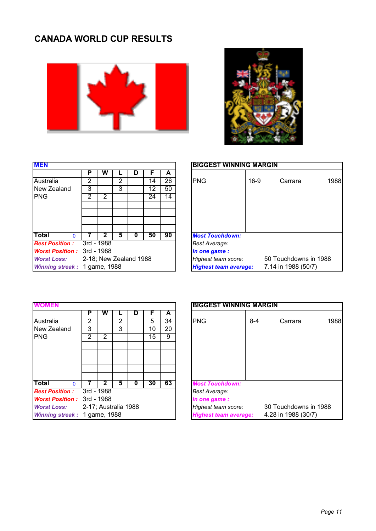# **CANADA WORLD CUP RESULTS**





| <b>MEN</b>                        |   |                        |   |    |    |    | <b>BIGGEST WINNING MARGIN</b> |                                              |  |  |
|-----------------------------------|---|------------------------|---|----|----|----|-------------------------------|----------------------------------------------|--|--|
|                                   | P | w                      |   | IJ |    | А  |                               |                                              |  |  |
| Australia                         | 2 |                        | 2 |    | 14 | 26 | <b>PNG</b><br>$16-9$          | Carrara                                      |  |  |
| New Zealand                       | 3 |                        | 3 |    | 12 | 50 |                               |                                              |  |  |
| <b>PNG</b>                        | 2 | 2                      |   |    | 24 | 14 |                               |                                              |  |  |
|                                   |   |                        |   |    |    |    |                               |                                              |  |  |
|                                   |   |                        |   |    |    |    |                               |                                              |  |  |
|                                   |   |                        |   |    |    |    |                               |                                              |  |  |
| Total<br>$\Omega$                 |   |                        | 5 | 0  | 50 | 90 | <b>Most Touchdown:</b>        |                                              |  |  |
| <b>Best Position:</b>             |   | 3rd - 1988             |   |    |    |    | Best Average:                 |                                              |  |  |
| <b>Worst Position: 3rd - 1988</b> |   |                        |   |    |    |    | In one game :                 |                                              |  |  |
| <b>Worst Loss:</b>                |   | 2-18; New Zealand 1988 |   |    |    |    | Highest team score:           | 50 Touchdowns in 1988<br>7.14 in 1988 (50/7) |  |  |
| Winning streak: 1 game, 1988      |   |                        |   |    |    |    | <b>Highest team average:</b>  |                                              |  |  |

| MEN                                |   |                        |   |   |    |    | <b>BIGGEST WINNING MARGIN</b>                       |  |  |  |  |
|------------------------------------|---|------------------------|---|---|----|----|-----------------------------------------------------|--|--|--|--|
|                                    | Р | w                      |   | D |    | А  |                                                     |  |  |  |  |
| Australia                          | 2 |                        | 2 |   | 14 | 26 | <b>PNG</b><br>1988<br>$16-9$<br>Carrara             |  |  |  |  |
| New Zealand                        | 3 |                        | 3 |   | 12 | 50 |                                                     |  |  |  |  |
| PNG                                | 2 | 2                      |   |   | 24 | 14 |                                                     |  |  |  |  |
|                                    |   |                        |   |   |    |    |                                                     |  |  |  |  |
|                                    |   |                        |   |   |    |    |                                                     |  |  |  |  |
|                                    |   |                        |   |   |    |    |                                                     |  |  |  |  |
|                                    |   |                        |   |   |    |    |                                                     |  |  |  |  |
| Total<br>∩                         |   |                        | n | U | 50 | 90 | <b>Most Touchdown:</b>                              |  |  |  |  |
| <b>Best Position :</b>             |   | 3rd - 1988             |   |   |    |    | <b>Best Average:</b>                                |  |  |  |  |
| <b>Worst Position :</b> 3rd - 1988 |   |                        |   |   |    |    | In one game :                                       |  |  |  |  |
| <b>Worst Loss:</b>                 |   | 2-18; New Zealand 1988 |   |   |    |    | 50 Touchdowns in 1988<br>Highest team score:        |  |  |  |  |
| Winning streak: 1 game, 1988       |   |                        |   |   |    |    | 7.14 in 1988 (50/7)<br><b>Highest team average:</b> |  |  |  |  |

|                              |   |                      |   |   |    |    | <b>BIGGEST WINNING MARGIN</b>                       |  |  |  |
|------------------------------|---|----------------------|---|---|----|----|-----------------------------------------------------|--|--|--|
|                              | Р | w                    |   | D |    | А  |                                                     |  |  |  |
| Australia                    | 2 |                      | 2 |   | 5  | 34 | <b>PNG</b><br>$8 - 4$<br>Carrara                    |  |  |  |
| New Zealand                  | 3 |                      | 3 |   | 10 | 20 |                                                     |  |  |  |
| <b>PNG</b>                   | 2 | 2                    |   |   | 15 | 9  |                                                     |  |  |  |
|                              |   |                      |   |   |    |    |                                                     |  |  |  |
|                              |   |                      |   |   |    |    |                                                     |  |  |  |
|                              |   |                      |   |   |    |    |                                                     |  |  |  |
|                              |   |                      |   |   |    |    |                                                     |  |  |  |
|                              |   |                      |   |   |    |    |                                                     |  |  |  |
| Total<br>$\Omega$            |   | 2                    | 5 | 0 | 30 | 63 | <b>Most Touchdown:</b>                              |  |  |  |
| <b>Best Position:</b>        |   | 3rd - 1988           |   |   |    |    | <b>Best Average:</b>                                |  |  |  |
| <b>Worst Position:</b>       |   | 3rd - 1988           |   |   |    |    | In one game:                                        |  |  |  |
| <b>Worst Loss:</b>           |   | 2-17; Australia 1988 |   |   |    |    | 30 Touchdowns in 1988<br>Highest team score:        |  |  |  |
| Winning streak: 1 game, 1988 |   |                      |   |   |    |    | 4.28 in 1988 (30/7)<br><b>Highest team average:</b> |  |  |  |

|                                    |   |                      |                |   |    |    | <b>BIGGEST WINNING MARGIN</b>                       |
|------------------------------------|---|----------------------|----------------|---|----|----|-----------------------------------------------------|
|                                    | Р | w                    |                | D | F  | A  |                                                     |
| Australia                          | 2 |                      | $\overline{2}$ |   | 5  | 34 | <b>PNG</b><br>1988<br>$8 - 4$<br>Carrara            |
| New Zealand                        | 3 |                      | 3              |   | 10 | 20 |                                                     |
| PNG                                | 2 | $\overline{2}$       |                |   | 15 | 9  |                                                     |
|                                    |   |                      |                |   |    |    |                                                     |
|                                    |   |                      |                |   |    |    |                                                     |
|                                    |   |                      |                |   |    |    |                                                     |
|                                    |   |                      |                |   |    |    |                                                     |
|                                    |   |                      |                |   |    |    |                                                     |
| Total<br>$\Omega$                  |   | 2                    | 5              | 0 | 30 | 63 | <b>Most Touchdown:</b>                              |
| <b>Best Position :</b>             |   | 3rd - 1988           |                |   |    |    | <b>Best Average:</b>                                |
| <b>Worst Position :</b> 3rd - 1988 |   |                      |                |   |    |    | In one game:                                        |
| <b>Worst Loss:</b>                 |   | 2-17; Australia 1988 |                |   |    |    | 30 Touchdowns in 1988<br>Highest team score:        |
| Winning streak: 1 game, 1988       |   |                      |                |   |    |    | 4.28 in 1988 (30/7)<br><b>Highest team average:</b> |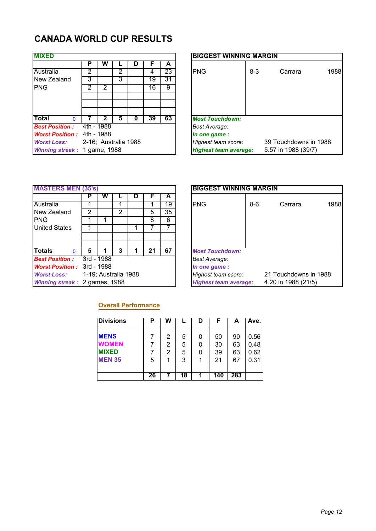## **CANADA WORLD CUP RESULTS**

| <b>MIXED</b>                 |   |                      |   |    |    |    | <b>BIGGEST WINNING MARGIN</b>                       |
|------------------------------|---|----------------------|---|----|----|----|-----------------------------------------------------|
|                              | Р | w                    |   | IJ |    | А  |                                                     |
| Australia                    | 2 |                      | 2 |    | 4  | 23 | <b>IPNG</b><br>$8-3$<br>Carrara                     |
| New Zealand                  | 3 |                      | 3 |    | 19 | 31 |                                                     |
| <b>PNG</b>                   | 2 | 2                    |   |    | 16 | 9  |                                                     |
|                              |   |                      |   |    |    |    |                                                     |
|                              |   |                      |   |    |    |    |                                                     |
|                              |   |                      |   |    |    |    |                                                     |
| <b>Total</b><br>$\Omega$     |   |                      | 5 | U  | 39 | 63 | <b>Most Touchdown:</b>                              |
| <b>Best Position:</b>        |   | 4th - 1988           |   |    |    |    | <b>Best Average:</b>                                |
| <b>Worst Position:</b>       |   | 4th - 1988           |   |    |    |    | In one game :                                       |
| <b>Worst Loss:</b>           |   | 2-16; Australia 1988 |   |    |    |    | 39 Touchdowns in 1988<br>Highest team score:        |
| Winning streak: 1 game, 1988 |   |                      |   |    |    |    | <b>Highest team average:</b><br>5.57 in 1988 (39/7) |

| <b>MIXED</b>                      |   |                      |   |   |    |    |
|-----------------------------------|---|----------------------|---|---|----|----|
|                                   | Р | vv                   |   | D |    | A  |
| Australia                         | 2 |                      | 2 |   | 4  | 23 |
| New Zealand                       | 3 |                      | 3 |   | 19 | 31 |
| <b>PNG</b>                        | っ | 2                    |   |   | 16 | 9  |
|                                   |   |                      |   |   |    |    |
|                                   |   |                      |   |   |    |    |
|                                   |   |                      |   |   |    |    |
| Total<br>0                        |   | 2                    | 5 | 0 | 39 | 63 |
| <b>Best Position :</b>            |   | 4th - 1988           |   |   |    |    |
| <b>Worst Position: 4th - 1988</b> |   |                      |   |   |    |    |
| <b>Worst Loss:</b>                |   | 2-16; Australia 1988 |   |   |    |    |
| Winning streak: 1 game, 1988      |   |                      |   |   |    |    |

| <b>MASTERS MEN (35's)</b>         |   |                      |                |    |    |    | <b>BIGGEST WINNING MARGIN</b>                       |                       |  |  |  |
|-----------------------------------|---|----------------------|----------------|----|----|----|-----------------------------------------------------|-----------------------|--|--|--|
|                                   |   | w                    |                | IJ |    | A  |                                                     |                       |  |  |  |
| Australia                         |   |                      |                |    |    | 19 | <b>PNG</b><br>$8 - 6$<br>Carrara                    | 1                     |  |  |  |
| New Zealand                       | 2 |                      | $\overline{2}$ |    | 5  | 35 |                                                     |                       |  |  |  |
| <b>PNG</b>                        |   |                      |                |    | 8  | 6  |                                                     |                       |  |  |  |
| <b>United States</b>              |   |                      |                |    |    |    |                                                     |                       |  |  |  |
|                                   |   |                      |                |    |    |    |                                                     |                       |  |  |  |
|                                   |   |                      |                |    |    |    |                                                     |                       |  |  |  |
| <b>Totals</b><br><sup>0</sup>     | 5 |                      | 3              |    | 21 | 67 | <b>Most Touchdown:</b>                              |                       |  |  |  |
| <b>Best Position:</b>             |   | 3rd - 1988           |                |    |    |    | <b>Best Average:</b>                                |                       |  |  |  |
| <b>Worst Position: 3rd - 1988</b> |   |                      |                |    |    |    | In one game :                                       |                       |  |  |  |
| <b>Worst Loss:</b>                |   | 1-19; Australia 1988 |                |    |    |    | Highest team score:                                 | 21 Touchdowns in 1988 |  |  |  |
| Winning streak: 2 games, 1988     |   |                      |                |    |    |    | 4.20 in 1988 (21/5)<br><b>Highest team average:</b> |                       |  |  |  |

| <b>MASTERS MEN (35's)</b>          |   |                      |   |   |    |    |
|------------------------------------|---|----------------------|---|---|----|----|
|                                    |   | vv                   |   | D |    | A  |
| Australia                          |   |                      |   |   |    | 19 |
| New Zealand                        | 2 |                      | 2 |   | 5  | 35 |
| PNG                                |   |                      |   |   | 8  | 6  |
| <b>United States</b>               |   |                      |   |   |    |    |
|                                    |   |                      |   |   |    |    |
|                                    |   |                      |   |   |    |    |
| Totals<br>n                        | 5 |                      |   |   | 21 | 67 |
| <b>Best Position :</b>             |   | 3rd - 1988           |   |   |    |    |
| <b>Worst Position :</b> 3rd - 1988 |   |                      |   |   |    |    |
| <b>Worst Loss:</b>                 |   | 1-19; Australia 1988 |   |   |    |    |
| Winning streak: 2 games, 1988      |   |                      |   |   |    |    |

#### **Overall Performance**

| <b>Divisions</b>                            | Ρ  | W           |             | D           |                | А              | Ave.                 |
|---------------------------------------------|----|-------------|-------------|-------------|----------------|----------------|----------------------|
| <b>MENS</b><br><b>WOMEN</b><br><b>MIXED</b> |    | 2<br>2<br>2 | 5<br>5<br>5 | 0<br>0<br>0 | 50<br>30<br>39 | 90<br>63<br>63 | 0.56<br>0.48<br>0.62 |
| <b>MEN 35</b>                               | 5  |             | 3           |             | 21             | 67             | 0.31                 |
|                                             | 26 |             | 18          | и           | 140            | 283            |                      |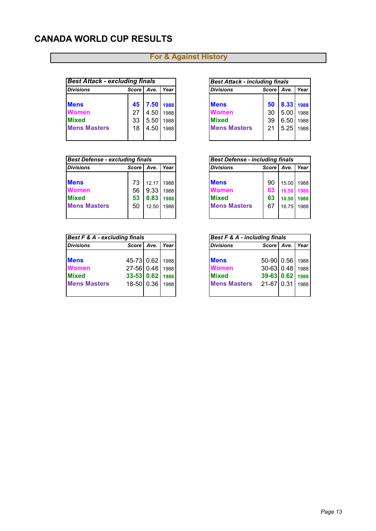## **CANADA WORLD CUP RESULTS**

| <b>Best Attack - excluding finals</b> |         |      |      | <b>Best Attack - including finals</b> |         |      |      |  |  |
|---------------------------------------|---------|------|------|---------------------------------------|---------|------|------|--|--|
| <b>Divisions</b>                      | Score I | Ave. | Year | <b>Divisions</b>                      | Score I | Ave. | Year |  |  |
|                                       |         |      |      |                                       |         |      |      |  |  |
| <b>Mens</b>                           | 45      | 7.50 | 1988 | <b>Mens</b>                           | 50      | 8.33 | 1988 |  |  |
| <b>Women</b>                          | 27      | 4.50 | 1988 | Women                                 | 30      | 5.00 | 1988 |  |  |
| <b>Mixed</b>                          | 33      | 5.50 | 1988 | <b>Mixed</b>                          | 39      | 6.50 | 1988 |  |  |
| <b>Mens Masters</b>                   | 18      | 4.50 | 1988 | <b>Mens Masters</b>                   | 21      | 5.25 | 1988 |  |  |
|                                       |         |      |      |                                       |         |      |      |  |  |

| <b>Best Defense - excluding finals</b> |         |       |      | <b>Best Defense - including finals</b> |              |       |      |
|----------------------------------------|---------|-------|------|----------------------------------------|--------------|-------|------|
| <b>Divisions</b>                       | Score I | Ave.  | Year | <b>Divisions</b>                       | <b>Score</b> | Ave.  | Year |
|                                        |         |       |      |                                        |              |       |      |
| <b>Mens</b>                            | 73      | 12 17 | 1988 | <b>Mens</b>                            | 90           | 15.00 | 1988 |
| <b>Women</b>                           | 56      | 9.33  | 1988 | <b>Women</b>                           | 63           | 10.50 | 1988 |
| <b>Mixed</b>                           | 53      | 8.83  | 1988 | <b>Mixed</b>                           | 63           | 10.50 | 1988 |
| <b>Mens Masters</b>                    | 50      | 12.50 | 1988 | <b>Mens Masters</b>                    | 67           | 16.75 | 1988 |
|                                        |         |       |      |                                        |              |       |      |

| <b>Best F &amp; A - excluding finals</b> |              |      |      |                     | Best F & A - including finals |      |      |  |  |
|------------------------------------------|--------------|------|------|---------------------|-------------------------------|------|------|--|--|
| <b>Divisions</b>                         | <b>Score</b> | Ave. | Year | <b>Divisions</b>    | Score                         | Ave. | Year |  |  |
| <b>Mens</b>                              | 45-73 0.62   |      | 1988 | <b>Mens</b>         | 50-90 0.56                    |      | 1988 |  |  |
| <b>Women</b>                             | 27-56 0.48   |      | 1988 | <b>Women</b>        | 30-63 0.48                    |      | 1988 |  |  |
| <b>Mixed</b>                             | 33-53 0.62   |      | 1988 | <b>Mixed</b>        | $39-63$ 0.62                  |      | 1988 |  |  |
| <b>Mens Masters</b>                      | 18-50 0.36   |      | 1988 | <b>Mens Masters</b> | 21-67 0.31                    |      | 1988 |  |  |
|                                          |              |      |      |                     |                               |      |      |  |  |

| <b>Best Attack - including finals</b> |              |           |      |  |  |  |  |  |
|---------------------------------------|--------------|-----------|------|--|--|--|--|--|
| <b>Divisions</b>                      | Score   Ave. |           | Year |  |  |  |  |  |
|                                       |              |           |      |  |  |  |  |  |
| <b>Mens</b>                           | 50           | 8.33 1988 |      |  |  |  |  |  |
| Women                                 | 30           | 5.00      | 1988 |  |  |  |  |  |
| <b>Mixed</b>                          | 39           | 6.50      | 1988 |  |  |  |  |  |
| <b>Mens Masters</b>                   | 21           | 5.25      | 1988 |  |  |  |  |  |

| <b>Best Defense - including finals</b> |                 |            |      |  |  |  |  |  |
|----------------------------------------|-----------------|------------|------|--|--|--|--|--|
| <b>Divisions</b>                       | Score Ave. Year |            |      |  |  |  |  |  |
|                                        |                 |            |      |  |  |  |  |  |
| Mens                                   | 90              | 15.00 1988 |      |  |  |  |  |  |
| Women                                  | 63              | 10.50 1988 |      |  |  |  |  |  |
| <b>Mixed</b>                           | 63              | 10.50      | 1988 |  |  |  |  |  |
| <b>Mens Masters</b>                    | 67              | 16.75 1988 |      |  |  |  |  |  |
|                                        |                 |            |      |  |  |  |  |  |

| <b>Divisions</b>    | Score Ave. | Year |
|---------------------|------------|------|
|                     |            |      |
| <b>Mens</b>         | 50-90 0.56 | 1988 |
| Women               | 30-63 0.48 | 1988 |
| <b>Mixed</b>        | 39-63 0.62 | 1988 |
| <b>Mens Masters</b> | 21-67 0.31 | 1988 |